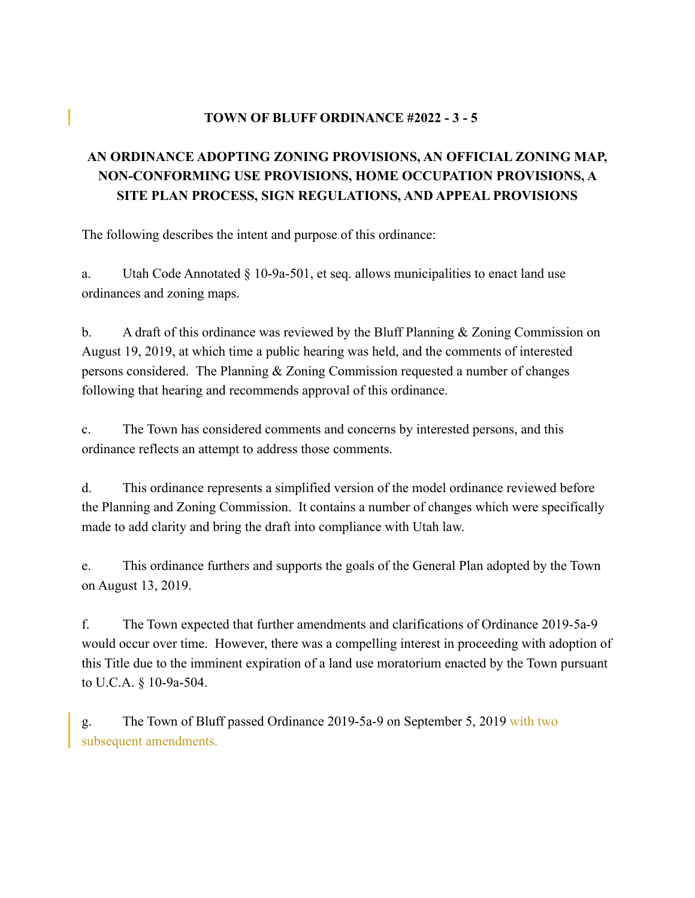## **TOWN OF BLUFF ORDINANCE #2022 - 3 - 5**

# **AN ORDINANCE ADOPTING ZONING PROVISIONS, AN OFFICIAL ZONING MAP, NON-CONFORMING USE PROVISIONS, HOME OCCUPATION PROVISIONS, A SITE PLAN PROCESS, SIGN REGULATIONS, AND APPEAL PROVISIONS**

The following describes the intent and purpose of this ordinance:

a. Utah Code Annotated § 10-9a-501, et seq. allows municipalities to enact land use ordinances and zoning maps.

b. A draft of this ordinance was reviewed by the Bluff Planning & Zoning Commission on August 19, 2019, at which time a public hearing was held, and the comments of interested persons considered. The Planning & Zoning Commission requested a number of changes following that hearing and recommends approval of this ordinance.

c. The Town has considered comments and concerns by interested persons, and this ordinance reflects an attempt to address those comments.

d. This ordinance represents a simplified version of the model ordinance reviewed before the Planning and Zoning Commission. It contains a number of changes which were specifically made to add clarity and bring the draft into compliance with Utah law.

e. This ordinance furthers and supports the goals of the General Plan adopted by the Town on August 13, 2019.

f. The Town expected that further amendments and clarifications of Ordinance 2019-5a-9 would occur over time. However, there was a compelling interest in proceeding with adoption of this Title due to the imminent expiration of a land use moratorium enacted by the Town pursuant to U.C.A. § 10-9a-504.

g. The Town of Bluff passed Ordinance 2019-5a-9 on September 5, 2019 with two subsequent amendments.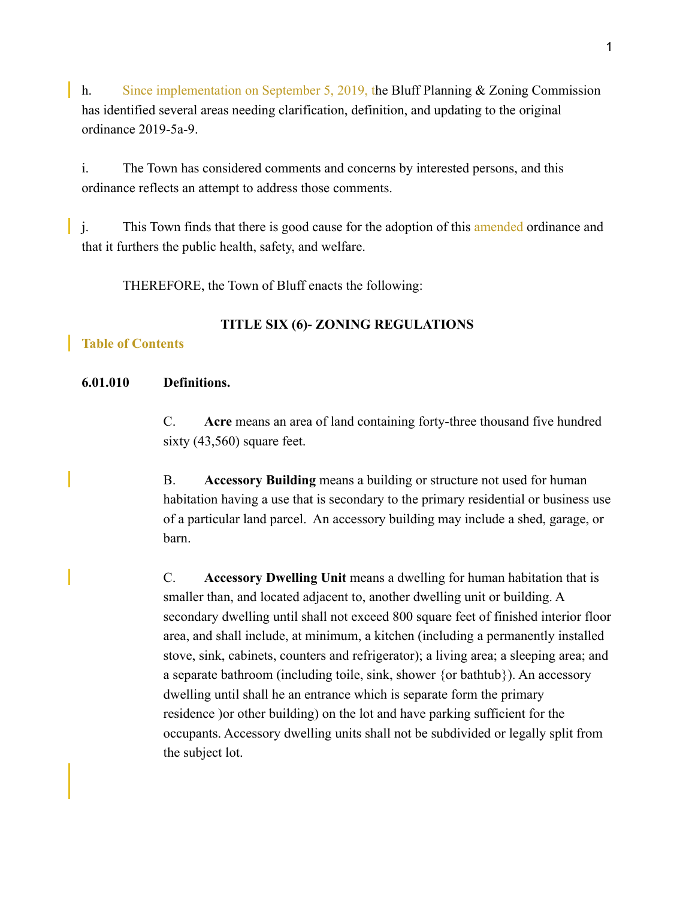h. Since implementation on September 5, 2019, the Bluff Planning & Zoning Commission has identified several areas needing clarification, definition, and updating to the original ordinance 2019-5a-9.

i. The Town has considered comments and concerns by interested persons, and this ordinance reflects an attempt to address those comments.

j. This Town finds that there is good cause for the adoption of this amended ordinance and that it furthers the public health, safety, and welfare.

THEREFORE, the Town of Bluff enacts the following:

### **TITLE SIX (6)- ZONING REGULATIONS**

## **Table of Contents**

#### **6.01.010 Definitions.**

C. **Acre** means an area of land containing forty-three thousand five hundred sixty (43,560) square feet.

B. **Accessory Building** means a building or structure not used for human habitation having a use that is secondary to the primary residential or business use of a particular land parcel. An accessory building may include a shed, garage, or barn.

C. **Accessory Dwelling Unit** means a dwelling for human habitation that is smaller than, and located adjacent to, another dwelling unit or building. A secondary dwelling until shall not exceed 800 square feet of finished interior floor area, and shall include, at minimum, a kitchen (including a permanently installed stove, sink, cabinets, counters and refrigerator); a living area; a sleeping area; and a separate bathroom (including toile, sink, shower {or bathtub}). An accessory dwelling until shall he an entrance which is separate form the primary residence )or other building) on the lot and have parking sufficient for the occupants. Accessory dwelling units shall not be subdivided or legally split from the subject lot.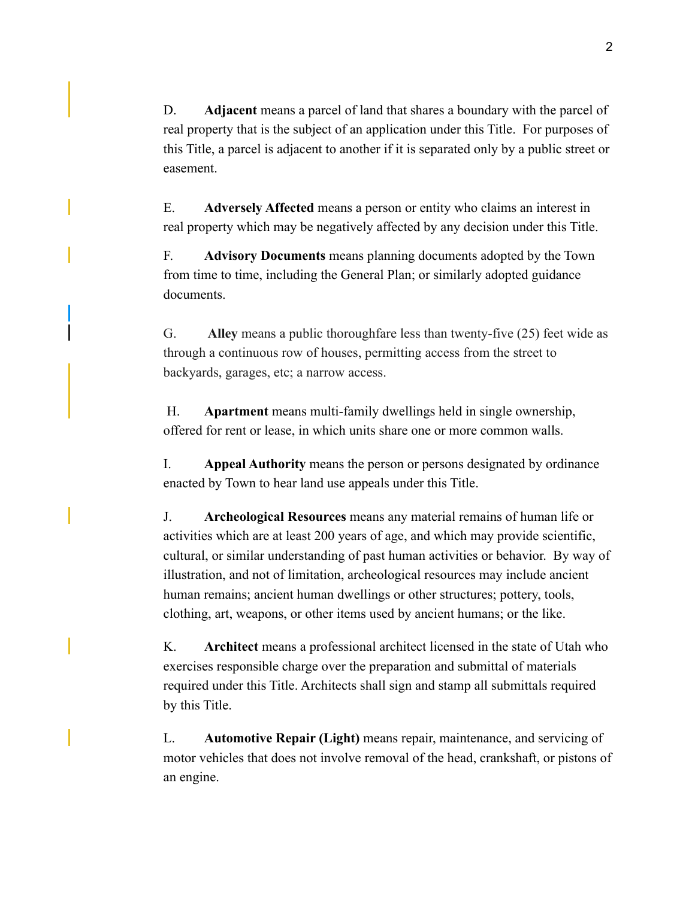D. **Adjacent** means a parcel of land that shares a boundary with the parcel of real property that is the subject of an application under this Title. For purposes of this Title, a parcel is adjacent to another if it is separated only by a public street or easement.

E. **Adversely Affected** means a person or entity who claims an interest in real property which may be negatively affected by any decision under this Title.

F. **Advisory Documents** means planning documents adopted by the Town from time to time, including the General Plan; or similarly adopted guidance documents.

G. **Alley** means a public thoroughfare less than twenty-five (25) feet wide as through a continuous row of houses, permitting access from the street to backyards, garages, etc; a narrow access.

 H. **Apartment** means multi-family dwellings held in single ownership, offered for rent or lease, in which units share one or more common walls.

I. **Appeal Authority** means the person or persons designated by ordinance enacted by Town to hear land use appeals under this Title.

J. **Archeological Resources** means any material remains of human life or activities which are at least 200 years of age, and which may provide scientific, cultural, or similar understanding of past human activities or behavior. By way of illustration, and not of limitation, archeological resources may include ancient human remains; ancient human dwellings or other structures; pottery, tools, clothing, art, weapons, or other items used by ancient humans; or the like.

K. **Architect** means a professional architect licensed in the state of Utah who exercises responsible charge over the preparation and submittal of materials required under this Title. Architects shall sign and stamp all submittals required by this Title.

L. **Automotive Repair (Light)** means repair, maintenance, and servicing of motor vehicles that does not involve removal of the head, crankshaft, or pistons of an engine.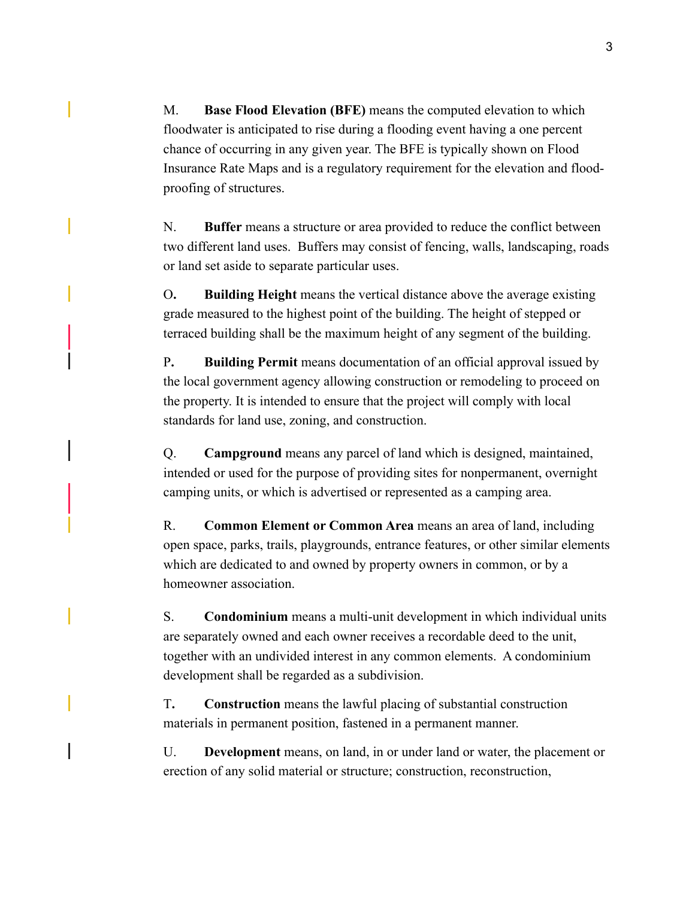M. **Base Flood Elevation (BFE)** means the computed elevation to which floodwater is anticipated to rise during a flooding event having a one percent chance of occurring in any given year. The BFE is typically shown on Flood Insurance Rate Maps and is a regulatory requirement for the elevation and floodproofing of structures.

N. **Buffer** means a structure or area provided to reduce the conflict between two different land uses. Buffers may consist of fencing, walls, landscaping, roads or land set aside to separate particular uses.

O**. Building Height** means the vertical distance above the average existing grade measured to the highest point of the building. The height of stepped or terraced building shall be the maximum height of any segment of the building.

P**. Building Permit** means documentation of an official approval issued by the local government agency allowing construction or remodeling to proceed on the property. It is intended to ensure that the project will comply with local standards for land use, zoning, and construction.

Q. **Campground** means any parcel of land which is designed, maintained, intended or used for the purpose of providing sites for nonpermanent, overnight camping units, or which is advertised or represented as a camping area.

R. **Common Element or Common Area** means an area of land, including open space, parks, trails, playgrounds, entrance features, or other similar elements which are dedicated to and owned by property owners in common, or by a homeowner association.

S. **Condominium** means a multi-unit development in which individual units are separately owned and each owner receives a recordable deed to the unit, together with an undivided interest in any common elements. A condominium development shall be regarded as a subdivision.

T**. Construction** means the lawful placing of substantial construction materials in permanent position, fastened in a permanent manner.

U. **Development** means, on land, in or under land or water, the placement or erection of any solid material or structure; construction, reconstruction,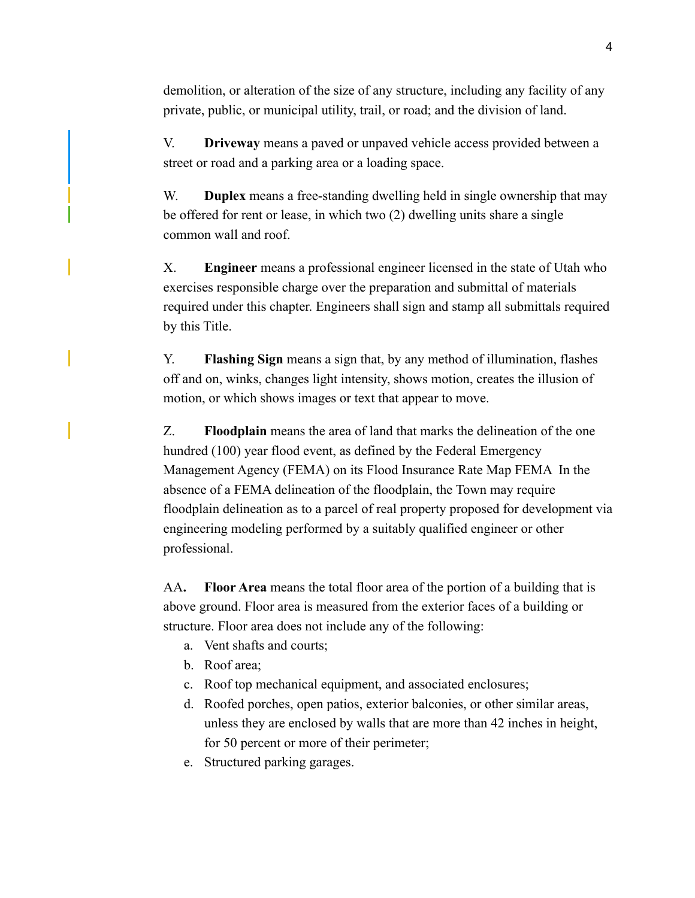demolition, or alteration of the size of any structure, including any facility of any private, public, or municipal utility, trail, or road; and the division of land.

V. **Driveway** means a paved or unpaved vehicle access provided between a street or road and a parking area or a loading space.

W. **Duplex** means a free-standing dwelling held in single ownership that may be offered for rent or lease, in which two (2) dwelling units share a single common wall and roof.

X. **Engineer** means a professional engineer licensed in the state of Utah who exercises responsible charge over the preparation and submittal of materials required under this chapter. Engineers shall sign and stamp all submittals required by this Title.

Y. **Flashing Sign** means a sign that, by any method of illumination, flashes off and on, winks, changes light intensity, shows motion, creates the illusion of motion, or which shows images or text that appear to move.

Z. **Floodplain** means the area of land that marks the delineation of the one hundred (100) year flood event, as defined by the Federal Emergency Management Agency (FEMA) on its Flood Insurance Rate Map FEMA In the absence of a FEMA delineation of the floodplain, the Town may require floodplain delineation as to a parcel of real property proposed for development via engineering modeling performed by a suitably qualified engineer or other professional.

AA**. Floor Area** means the total floor area of the portion of a building that is above ground. Floor area is measured from the exterior faces of a building or structure. Floor area does not include any of the following:

- a. Vent shafts and courts;
- b. Roof area;
- c. Roof top mechanical equipment, and associated enclosures;
- d. Roofed porches, open patios, exterior balconies, or other similar areas, unless they are enclosed by walls that are more than 42 inches in height, for 50 percent or more of their perimeter;
- e. Structured parking garages.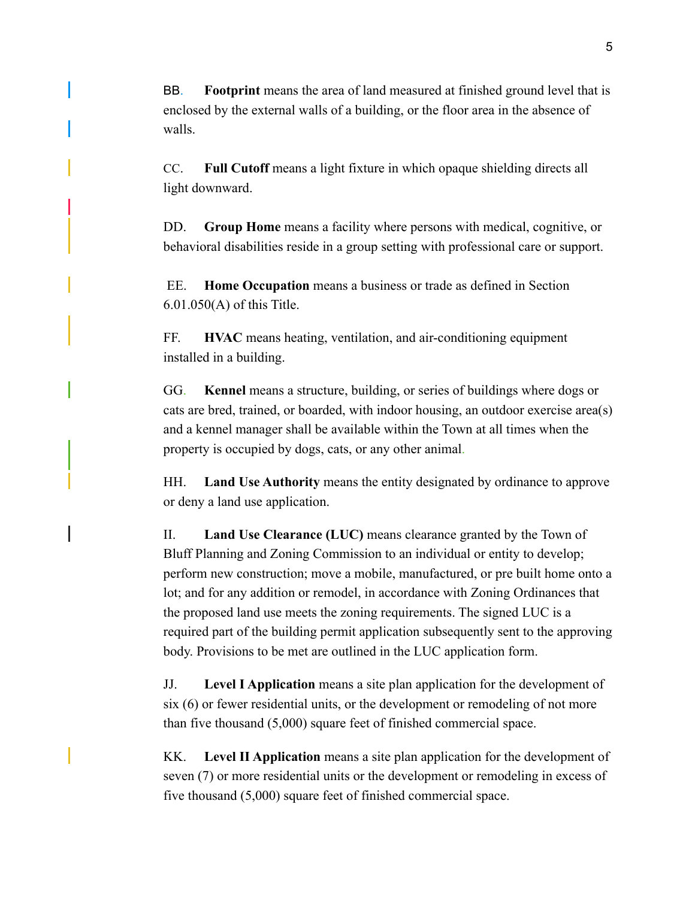BB. **Footprint** means the area of land measured at finished ground level that is enclosed by the external walls of a building, or the floor area in the absence of walls.

CC. **Full Cutoff** means a light fixture in which opaque shielding directs all light downward.

DD. **Group Home** means a facility where persons with medical, cognitive, or behavioral disabilities reside in a group setting with professional care or support.

 EE. **Home Occupation** means a business or trade as defined in Section 6.01.050(A) of this Title.

FF. **HVAC** means heating, ventilation, and air-conditioning equipment installed in a building.

GG. **Kennel** means a structure, building, or series of buildings where dogs or cats are bred, trained, or boarded, with indoor housing, an outdoor exercise area(s) and a kennel manager shall be available within the Town at all times when the property is occupied by dogs, cats, or any other animal.

HH. **Land Use Authority** means the entity designated by ordinance to approve or deny a land use application.

II. **Land Use Clearance (LUC)** means clearance granted by the Town of Bluff Planning and Zoning Commission to an individual or entity to develop; perform new construction; move a mobile, manufactured, or pre built home onto a lot; and for any addition or remodel, in accordance with Zoning Ordinances that the proposed land use meets the zoning requirements. The signed LUC is a required part of the building permit application subsequently sent to the approving body. Provisions to be met are outlined in the LUC application form.

JJ. **Level I Application** means a site plan application for the development of six (6) or fewer residential units, or the development or remodeling of not more than five thousand (5,000) square feet of finished commercial space.

KK. **Level II Application** means a site plan application for the development of seven (7) or more residential units or the development or remodeling in excess of five thousand (5,000) square feet of finished commercial space.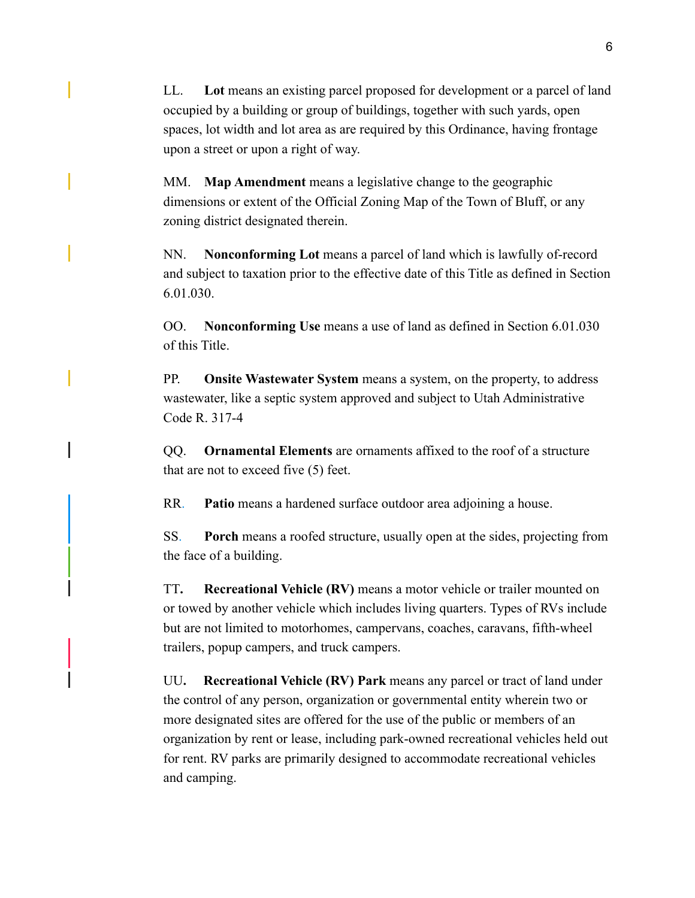LL. **Lot** means an existing parcel proposed for development or a parcel of land occupied by a building or group of buildings, together with such yards, open spaces, lot width and lot area as are required by this Ordinance, having frontage upon a street or upon a right of way.

MM. **Map Amendment** means a legislative change to the geographic dimensions or extent of the Official Zoning Map of the Town of Bluff, or any zoning district designated therein.

NN. **Nonconforming Lot** means a parcel of land which is lawfully of-record and subject to taxation prior to the effective date of this Title as defined in Section 6.01.030.

OO. **Nonconforming Use** means a use of land as defined in Section 6.01.030 of this Title.

PP. **Onsite Wastewater System** means a system, on the property, to address wastewater, like a septic system approved and subject to Utah Administrative Code R. 317-4

QQ. **Ornamental Elements** are ornaments affixed to the roof of a structure that are not to exceed five (5) feet.

RR. **Patio** means a hardened surface outdoor area adjoining a house.

SS. **Porch** means a roofed structure, usually open at the sides, projecting from the face of a building.

TT**. Recreational Vehicle (RV)** means a motor vehicle or trailer mounted on or towed by another vehicle which includes living quarters. Types of RVs include but are not limited to motorhomes, campervans, coaches, caravans, fifth-wheel trailers, popup campers, and truck campers.

UU**. Recreational Vehicle (RV) Park** means any parcel or tract of land under the control of any person, organization or governmental entity wherein two or more designated sites are offered for the use of the public or members of an organization by rent or lease, including park-owned recreational vehicles held out for rent. RV parks are primarily designed to accommodate recreational vehicles and camping.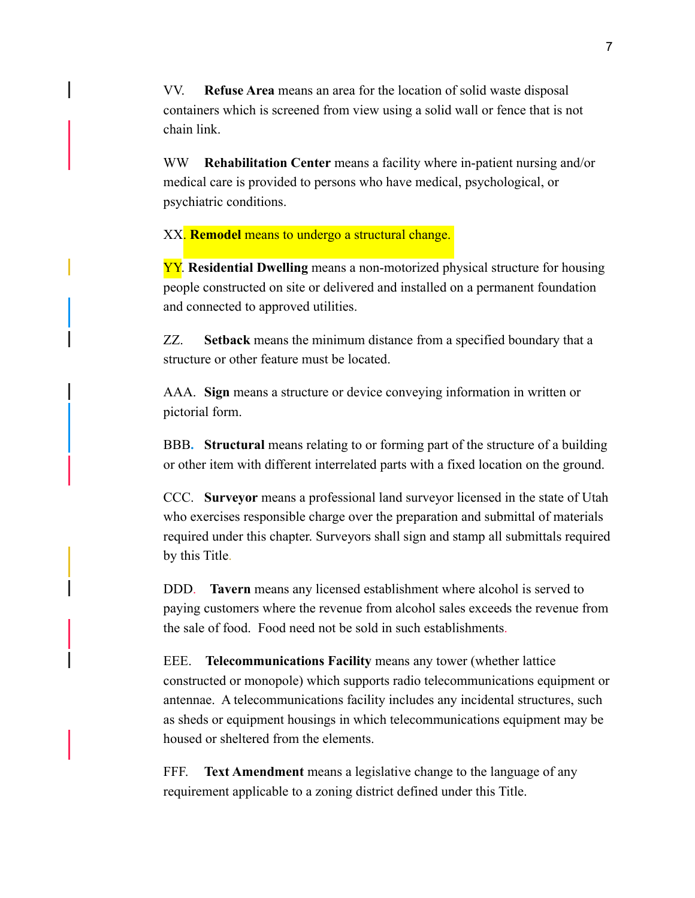VV. **Refuse Area** means an area for the location of solid waste disposal containers which is screened from view using a solid wall or fence that is not chain link.

WW **Rehabilitation Center** means a facility where in-patient nursing and/or medical care is provided to persons who have medical, psychological, or psychiatric conditions.

XX. **Remodel** means to undergo a structural change.

YY. **Residential Dwelling** means a non-motorized physical structure for housing people constructed on site or delivered and installed on a permanent foundation and connected to approved utilities.

ZZ. **Setback** means the minimum distance from a specified boundary that a structure or other feature must be located.

AAA. **Sign** means a structure or device conveying information in written or pictorial form.

BBB**. Structural** means relating to or forming part of the structure of a building or other item with different interrelated parts with a fixed location on the ground.

CCC. **Surveyor** means a professional land surveyor licensed in the state of Utah who exercises responsible charge over the preparation and submittal of materials required under this chapter. Surveyors shall sign and stamp all submittals required by this Title.

DDD. **Tavern** means any licensed establishment where alcohol is served to paying customers where the revenue from alcohol sales exceeds the revenue from the sale of food. Food need not be sold in such establishments.

EEE. **Telecommunications Facility** means any tower (whether lattice constructed or monopole) which supports radio telecommunications equipment or antennae. A telecommunications facility includes any incidental structures, such as sheds or equipment housings in which telecommunications equipment may be housed or sheltered from the elements.

FFF. **Text Amendment** means a legislative change to the language of any requirement applicable to a zoning district defined under this Title.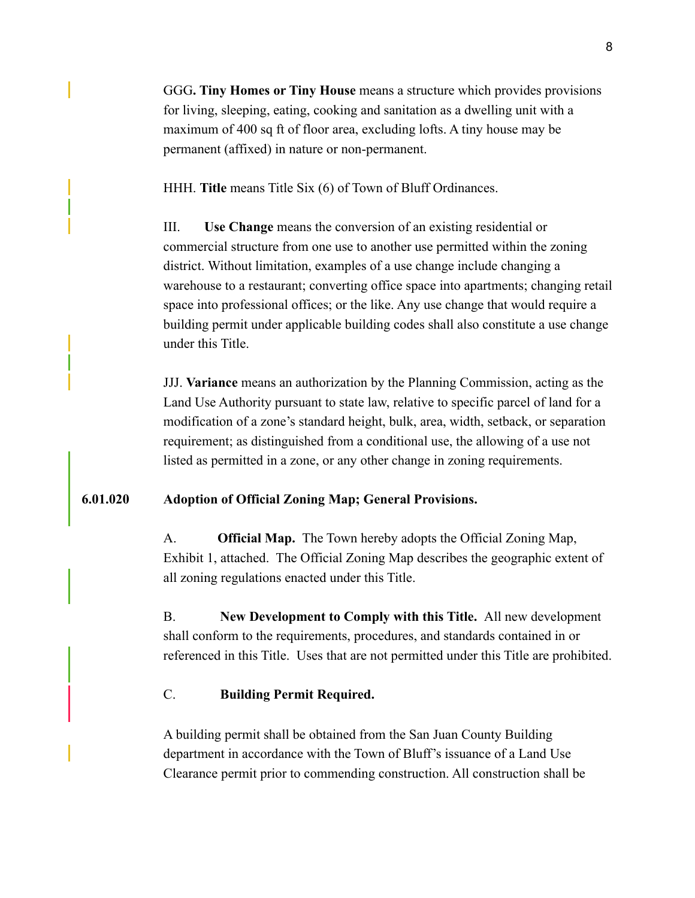GGG**. Tiny Homes or Tiny House** means a structure which provides provisions for living, sleeping, eating, cooking and sanitation as a dwelling unit with a maximum of 400 sq ft of floor area, excluding lofts. A tiny house may be permanent (affixed) in nature or non-permanent.

HHH. **Title** means Title Six (6) of Town of Bluff Ordinances.

III. **Use Change** means the conversion of an existing residential or commercial structure from one use to another use permitted within the zoning district. Without limitation, examples of a use change include changing a warehouse to a restaurant; converting office space into apartments; changing retail space into professional offices; or the like. Any use change that would require a building permit under applicable building codes shall also constitute a use change under this Title.

JJJ. **Variance** means an authorization by the Planning Commission, acting as the Land Use Authority pursuant to state law, relative to specific parcel of land for a modification of a zone's standard height, bulk, area, width, setback, or separation requirement; as distinguished from a conditional use, the allowing of a use not listed as permitted in a zone, or any other change in zoning requirements.

### **6.01.020 Adoption of Official Zoning Map; General Provisions.**

A. **Official Map.** The Town hereby adopts the Official Zoning Map, Exhibit 1, attached. The Official Zoning Map describes the geographic extent of all zoning regulations enacted under this Title.

B. **New Development to Comply with this Title.** All new development shall conform to the requirements, procedures, and standards contained in or referenced in this Title. Uses that are not permitted under this Title are prohibited.

## C. **Building Permit Required.**

A building permit shall be obtained from the San Juan County Building department in accordance with the Town of Bluff's issuance of a Land Use Clearance permit prior to commending construction. All construction shall be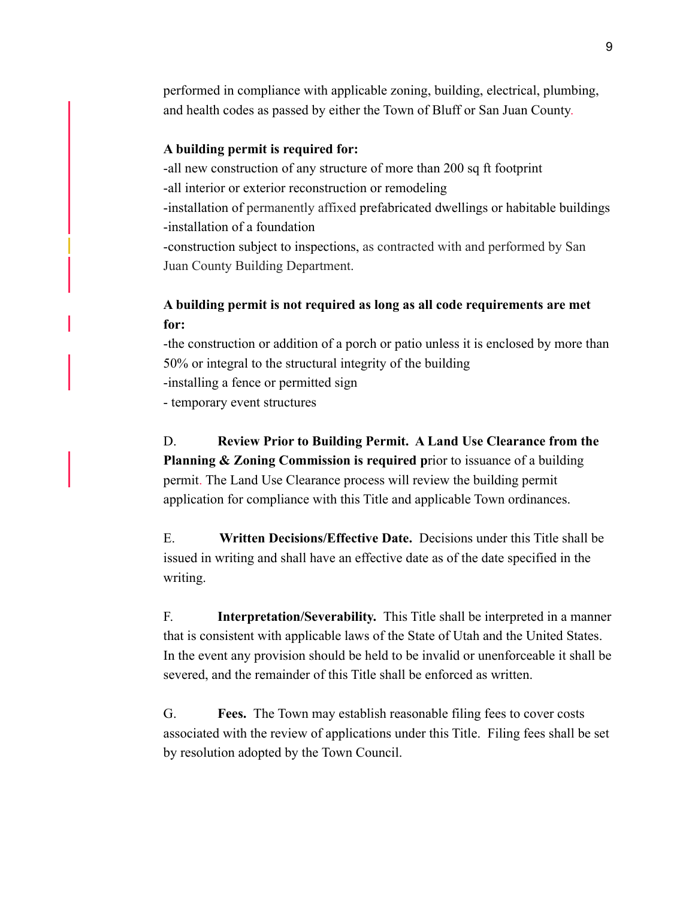performed in compliance with applicable zoning, building, electrical, plumbing, and health codes as passed by either the Town of Bluff or San Juan County.

#### **A building permit is required for:**

-all new construction of any structure of more than 200 sq ft footprint -all interior or exterior reconstruction or remodeling -installation of permanently affixed prefabricated dwellings or habitable buildings -installation of a foundation -construction subject to inspections, as contracted with and performed by San Juan County Building Department.

## **A building permit is not required as long as all code requirements are met for:**

-the construction or addition of a porch or patio unless it is enclosed by more than 50% or integral to the structural integrity of the building -installing a fence or permitted sign - temporary event structures

D. **Review Prior to Building Permit. A Land Use Clearance from the Planning & Zoning Commission is required prior to issuance of a building** permit. The Land Use Clearance process will review the building permit application for compliance with this Title and applicable Town ordinances.

E. **Written Decisions/Effective Date.** Decisions under this Title shall be issued in writing and shall have an effective date as of the date specified in the writing.

F. **Interpretation/Severability.** This Title shall be interpreted in a manner that is consistent with applicable laws of the State of Utah and the United States. In the event any provision should be held to be invalid or unenforceable it shall be severed, and the remainder of this Title shall be enforced as written.

G. **Fees.** The Town may establish reasonable filing fees to cover costs associated with the review of applications under this Title. Filing fees shall be set by resolution adopted by the Town Council.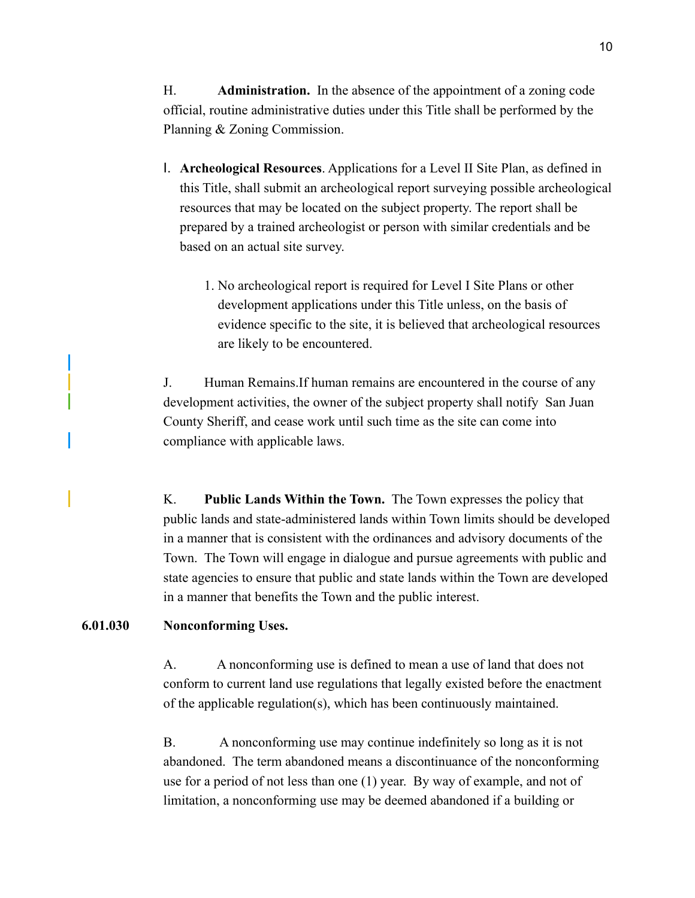H. **Administration.** In the absence of the appointment of a zoning code official, routine administrative duties under this Title shall be performed by the Planning & Zoning Commission.

- I. **Archeological Resources**. Applications for a Level II Site Plan, as defined in this Title, shall submit an archeological report surveying possible archeological resources that may be located on the subject property. The report shall be prepared by a trained archeologist or person with similar credentials and be based on an actual site survey.
	- 1. No archeological report is required for Level I Site Plans or other development applications under this Title unless, on the basis of evidence specific to the site, it is believed that archeological resources are likely to be encountered.

J. Human Remains.If human remains are encountered in the course of any development activities, the owner of the subject property shall notify San Juan County Sheriff, and cease work until such time as the site can come into compliance with applicable laws.

K. **Public Lands Within the Town.** The Town expresses the policy that public lands and state-administered lands within Town limits should be developed in a manner that is consistent with the ordinances and advisory documents of the Town. The Town will engage in dialogue and pursue agreements with public and state agencies to ensure that public and state lands within the Town are developed in a manner that benefits the Town and the public interest.

#### **6.01.030 Nonconforming Uses.**

A. A nonconforming use is defined to mean a use of land that does not conform to current land use regulations that legally existed before the enactment of the applicable regulation(s), which has been continuously maintained.

B. A nonconforming use may continue indefinitely so long as it is not abandoned. The term abandoned means a discontinuance of the nonconforming use for a period of not less than one (1) year. By way of example, and not of limitation, a nonconforming use may be deemed abandoned if a building or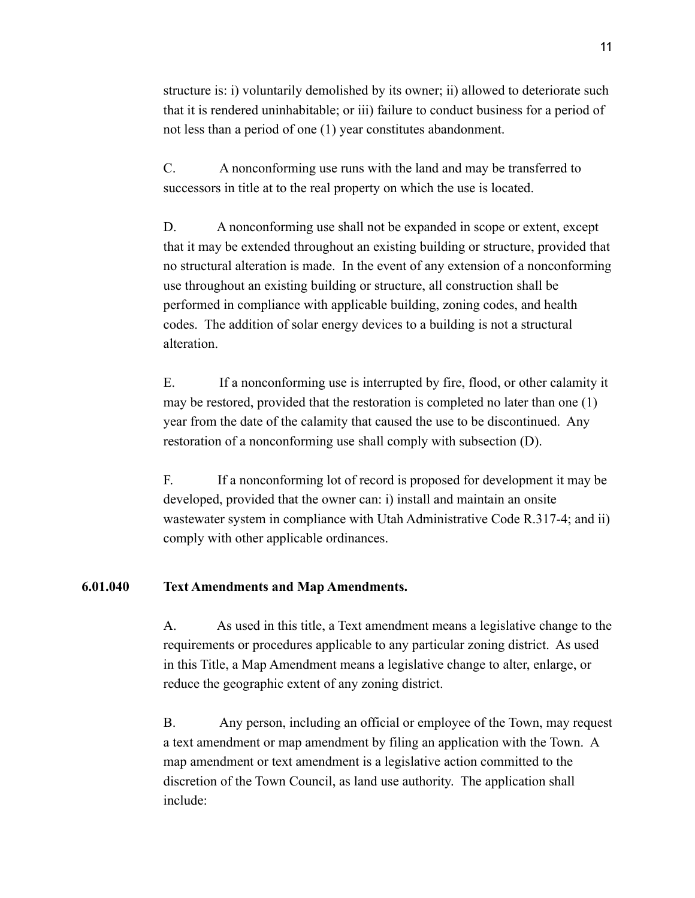structure is: i) voluntarily demolished by its owner; ii) allowed to deteriorate such that it is rendered uninhabitable; or iii) failure to conduct business for a period of not less than a period of one (1) year constitutes abandonment.

C. A nonconforming use runs with the land and may be transferred to successors in title at to the real property on which the use is located.

D. A nonconforming use shall not be expanded in scope or extent, except that it may be extended throughout an existing building or structure, provided that no structural alteration is made. In the event of any extension of a nonconforming use throughout an existing building or structure, all construction shall be performed in compliance with applicable building, zoning codes, and health codes. The addition of solar energy devices to a building is not a structural alteration.

E. If a nonconforming use is interrupted by fire, flood, or other calamity it may be restored, provided that the restoration is completed no later than one (1) year from the date of the calamity that caused the use to be discontinued. Any restoration of a nonconforming use shall comply with subsection (D).

F. If a nonconforming lot of record is proposed for development it may be developed, provided that the owner can: i) install and maintain an onsite wastewater system in compliance with Utah Administrative Code R.317-4; and ii) comply with other applicable ordinances.

## **6.01.040 Text Amendments and Map Amendments.**

A. As used in this title, a Text amendment means a legislative change to the requirements or procedures applicable to any particular zoning district. As used in this Title, a Map Amendment means a legislative change to alter, enlarge, or reduce the geographic extent of any zoning district.

B. Any person, including an official or employee of the Town, may request a text amendment or map amendment by filing an application with the Town. A map amendment or text amendment is a legislative action committed to the discretion of the Town Council, as land use authority. The application shall include: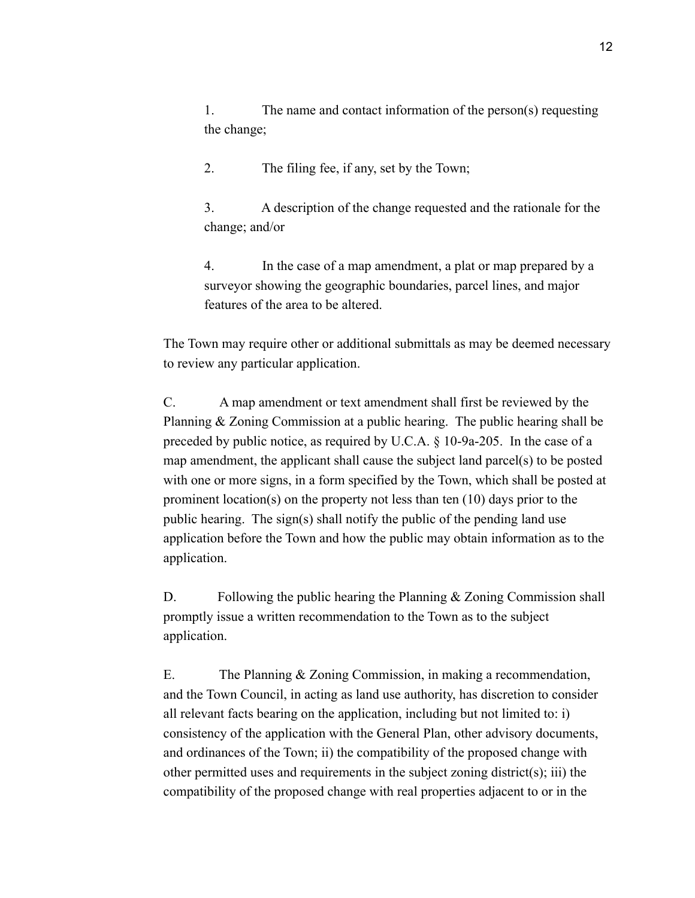1. The name and contact information of the person(s) requesting the change;

2. The filing fee, if any, set by the Town;

3. A description of the change requested and the rationale for the change; and/or

4. In the case of a map amendment, a plat or map prepared by a surveyor showing the geographic boundaries, parcel lines, and major features of the area to be altered.

The Town may require other or additional submittals as may be deemed necessary to review any particular application.

C. A map amendment or text amendment shall first be reviewed by the Planning & Zoning Commission at a public hearing. The public hearing shall be preceded by public notice, as required by U.C.A. § 10-9a-205. In the case of a map amendment, the applicant shall cause the subject land parcel(s) to be posted with one or more signs, in a form specified by the Town, which shall be posted at prominent location(s) on the property not less than ten (10) days prior to the public hearing. The sign(s) shall notify the public of the pending land use application before the Town and how the public may obtain information as to the application.

D. Following the public hearing the Planning  $&$  Zoning Commission shall promptly issue a written recommendation to the Town as to the subject application.

E. The Planning & Zoning Commission, in making a recommendation, and the Town Council, in acting as land use authority, has discretion to consider all relevant facts bearing on the application, including but not limited to: i) consistency of the application with the General Plan, other advisory documents, and ordinances of the Town; ii) the compatibility of the proposed change with other permitted uses and requirements in the subject zoning district(s); iii) the compatibility of the proposed change with real properties adjacent to or in the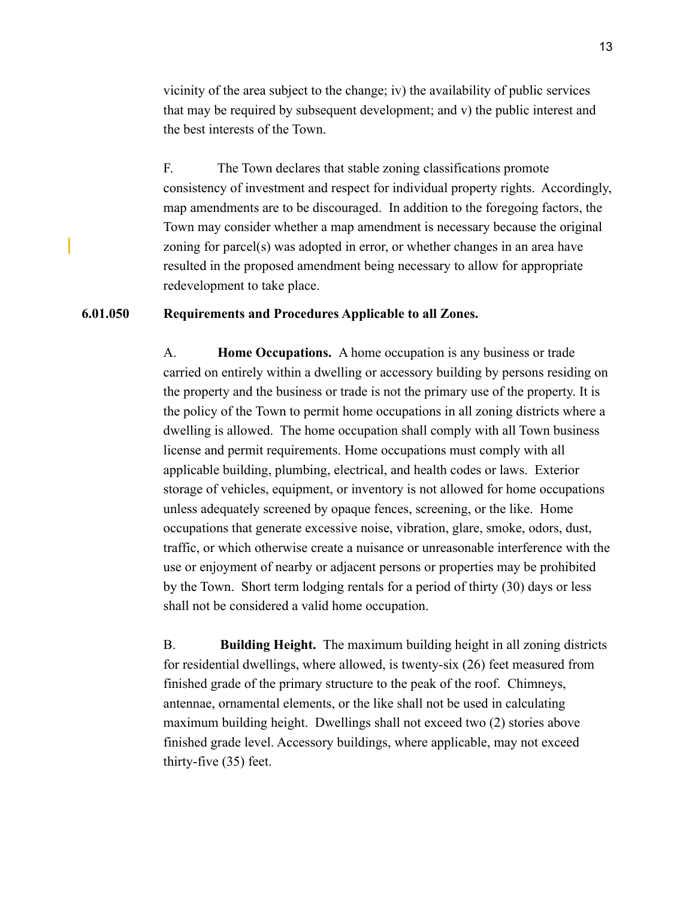vicinity of the area subject to the change; iv) the availability of public services that may be required by subsequent development; and v) the public interest and the best interests of the Town.

F. The Town declares that stable zoning classifications promote consistency of investment and respect for individual property rights. Accordingly, map amendments are to be discouraged. In addition to the foregoing factors, the Town may consider whether a map amendment is necessary because the original zoning for parcel(s) was adopted in error, or whether changes in an area have resulted in the proposed amendment being necessary to allow for appropriate redevelopment to take place.

### **6.01.050 Requirements and Procedures Applicable to all Zones.**

A. **Home Occupations.** A home occupation is any business or trade carried on entirely within a dwelling or accessory building by persons residing on the property and the business or trade is not the primary use of the property. It is the policy of the Town to permit home occupations in all zoning districts where a dwelling is allowed. The home occupation shall comply with all Town business license and permit requirements. Home occupations must comply with all applicable building, plumbing, electrical, and health codes or laws. Exterior storage of vehicles, equipment, or inventory is not allowed for home occupations unless adequately screened by opaque fences, screening, or the like. Home occupations that generate excessive noise, vibration, glare, smoke, odors, dust, traffic, or which otherwise create a nuisance or unreasonable interference with the use or enjoyment of nearby or adjacent persons or properties may be prohibited by the Town. Short term lodging rentals for a period of thirty (30) days or less shall not be considered a valid home occupation.

B. **Building Height.** The maximum building height in all zoning districts for residential dwellings, where allowed, is twenty-six (26) feet measured from finished grade of the primary structure to the peak of the roof. Chimneys, antennae, ornamental elements, or the like shall not be used in calculating maximum building height. Dwellings shall not exceed two (2) stories above finished grade level. Accessory buildings, where applicable, may not exceed thirty-five (35) feet.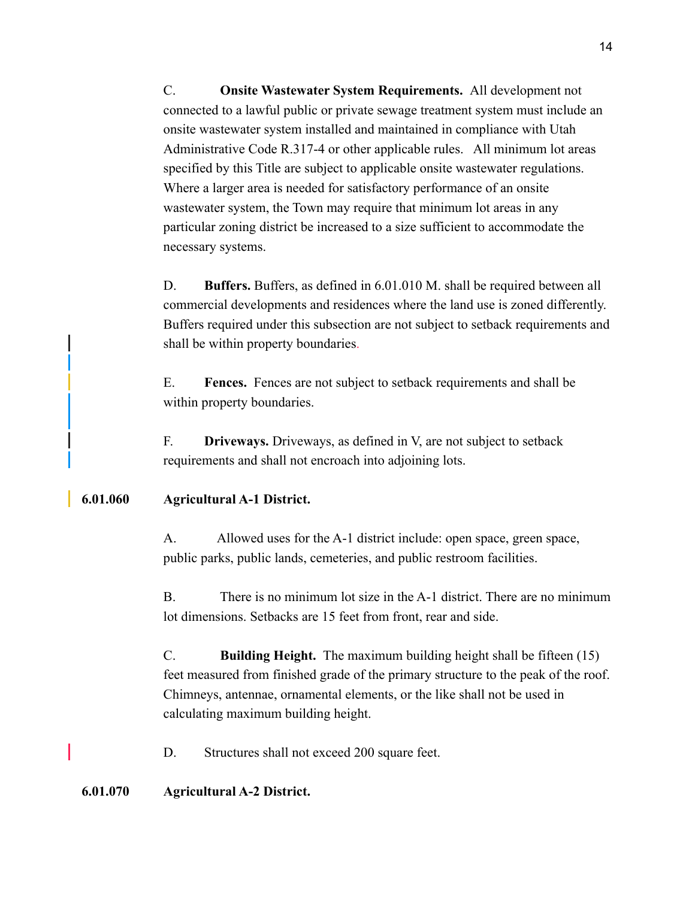C. **Onsite Wastewater System Requirements.** All development not connected to a lawful public or private sewage treatment system must include an onsite wastewater system installed and maintained in compliance with Utah Administrative Code R.317-4 or other applicable rules. All minimum lot areas specified by this Title are subject to applicable onsite wastewater regulations. Where a larger area is needed for satisfactory performance of an onsite wastewater system, the Town may require that minimum lot areas in any particular zoning district be increased to a size sufficient to accommodate the necessary systems.

D. **Buffers.** Buffers, as defined in 6.01.010 M. shall be required between all commercial developments and residences where the land use is zoned differently. Buffers required under this subsection are not subject to setback requirements and shall be within property boundaries.

E. **Fences.** Fences are not subject to setback requirements and shall be within property boundaries.

F. **Driveways.** Driveways, as defined in V, are not subject to setback requirements and shall not encroach into adjoining lots.

## **6.01.060 Agricultural A-1 District.**

A. Allowed uses for the A-1 district include: open space, green space, public parks, public lands, cemeteries, and public restroom facilities.

B. There is no minimum lot size in the A-1 district. There are no minimum lot dimensions. Setbacks are 15 feet from front, rear and side.

C. **Building Height.** The maximum building height shall be fifteen (15) feet measured from finished grade of the primary structure to the peak of the roof. Chimneys, antennae, ornamental elements, or the like shall not be used in calculating maximum building height.

D. Structures shall not exceed 200 square feet.

## **6.01.070 Agricultural A-2 District.**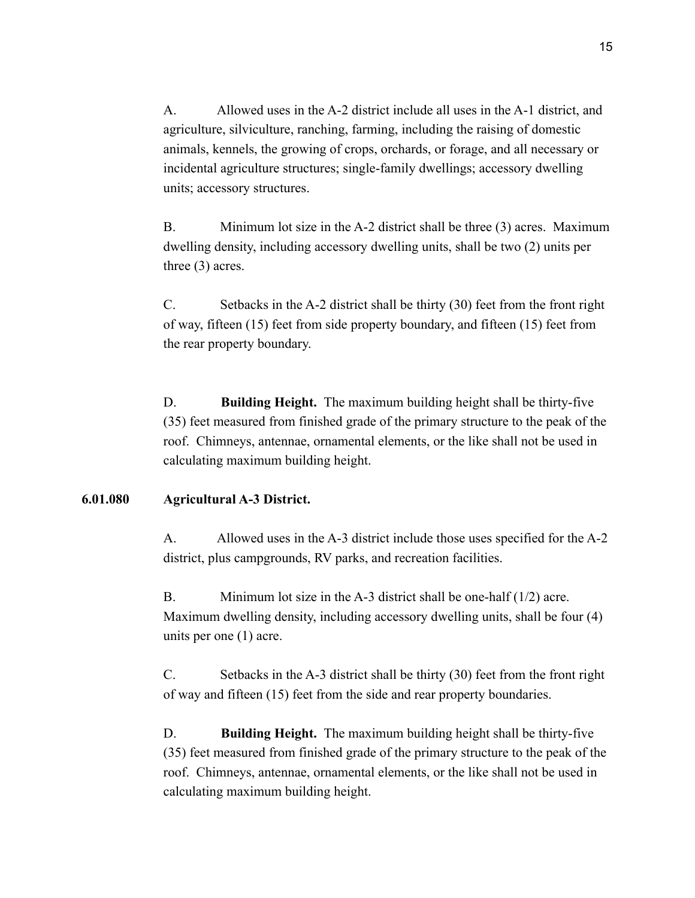A. Allowed uses in the A-2 district include all uses in the A-1 district, and agriculture, silviculture, ranching, farming, including the raising of domestic animals, kennels, the growing of crops, orchards, or forage, and all necessary or incidental agriculture structures; single-family dwellings; accessory dwelling units; accessory structures.

B. Minimum lot size in the A-2 district shall be three (3) acres. Maximum dwelling density, including accessory dwelling units, shall be two (2) units per three (3) acres.

C. Setbacks in the A-2 district shall be thirty (30) feet from the front right of way, fifteen (15) feet from side property boundary, and fifteen (15) feet from the rear property boundary.

D. **Building Height.** The maximum building height shall be thirty-five (35) feet measured from finished grade of the primary structure to the peak of the roof. Chimneys, antennae, ornamental elements, or the like shall not be used in calculating maximum building height.

## **6.01.080 Agricultural A-3 District.**

A. Allowed uses in the A-3 district include those uses specified for the A-2 district, plus campgrounds, RV parks, and recreation facilities.

B. Minimum lot size in the A-3 district shall be one-half (1/2) acre. Maximum dwelling density, including accessory dwelling units, shall be four (4) units per one (1) acre.

C. Setbacks in the A-3 district shall be thirty (30) feet from the front right of way and fifteen (15) feet from the side and rear property boundaries.

D. **Building Height.** The maximum building height shall be thirty-five (35) feet measured from finished grade of the primary structure to the peak of the roof. Chimneys, antennae, ornamental elements, or the like shall not be used in calculating maximum building height.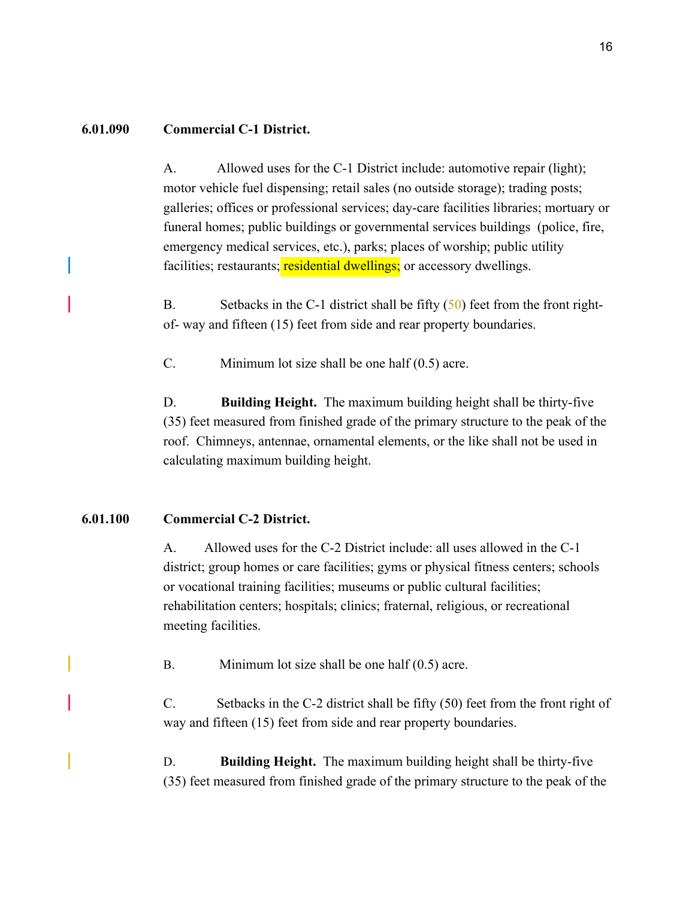#### **6.01.090 Commercial C-1 District.**

A. Allowed uses for the C-1 District include: automotive repair (light); motor vehicle fuel dispensing; retail sales (no outside storage); trading posts; galleries; offices or professional services; day-care facilities libraries; mortuary or funeral homes; public buildings or governmental services buildings (police, fire, emergency medical services, etc.), parks; places of worship; public utility facilities; restaurants; residential dwellings; or accessory dwellings.

B. Setbacks in the C-1 district shall be fifty (50) feet from the front rightof- way and fifteen (15) feet from side and rear property boundaries.

C. Minimum lot size shall be one half (0.5) acre.

D. **Building Height.** The maximum building height shall be thirty-five (35) feet measured from finished grade of the primary structure to the peak of the roof. Chimneys, antennae, ornamental elements, or the like shall not be used in calculating maximum building height.

### **6.01.100 Commercial C-2 District.**

A. Allowed uses for the C-2 District include: all uses allowed in the C-1 district; group homes or care facilities; gyms or physical fitness centers; schools or vocational training facilities; museums or public cultural facilities; rehabilitation centers; hospitals; clinics; fraternal, religious, or recreational meeting facilities.

B. Minimum lot size shall be one half (0.5) acre.

C. Setbacks in the C-2 district shall be fifty (50) feet from the front right of way and fifteen (15) feet from side and rear property boundaries.

D. **Building Height.** The maximum building height shall be thirty-five (35) feet measured from finished grade of the primary structure to the peak of the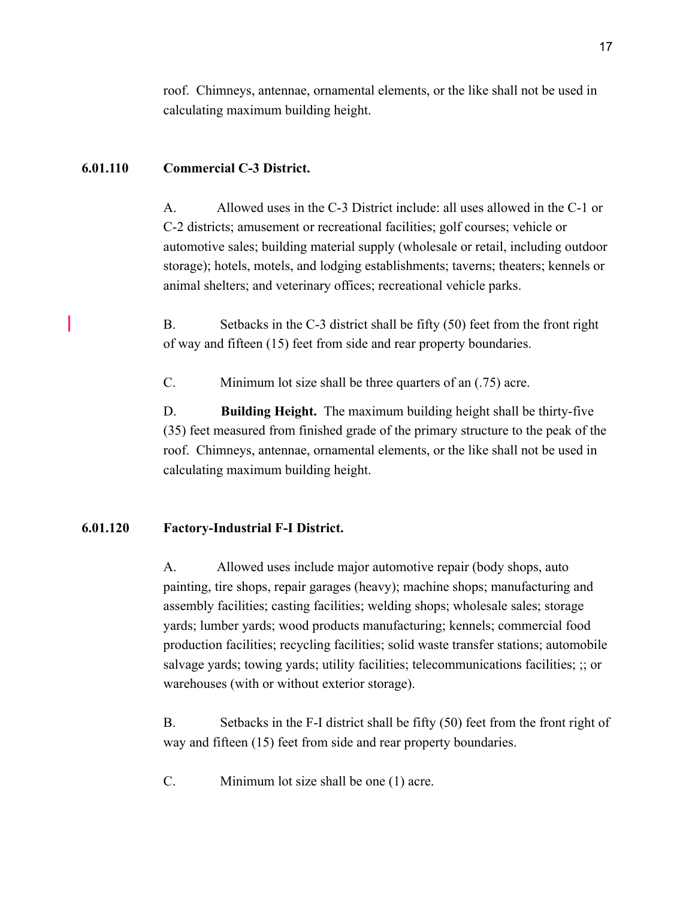roof. Chimneys, antennae, ornamental elements, or the like shall not be used in calculating maximum building height.

### **6.01.110 Commercial C-3 District.**

A. Allowed uses in the C-3 District include: all uses allowed in the C-1 or C-2 districts; amusement or recreational facilities; golf courses; vehicle or automotive sales; building material supply (wholesale or retail, including outdoor storage); hotels, motels, and lodging establishments; taverns; theaters; kennels or animal shelters; and veterinary offices; recreational vehicle parks.

B. Setbacks in the C-3 district shall be fifty (50) feet from the front right of way and fifteen (15) feet from side and rear property boundaries.

C. Minimum lot size shall be three quarters of an (.75) acre.

D. **Building Height.** The maximum building height shall be thirty-five (35) feet measured from finished grade of the primary structure to the peak of the roof. Chimneys, antennae, ornamental elements, or the like shall not be used in calculating maximum building height.

#### **6.01.120 Factory-Industrial F-I District.**

A. Allowed uses include major automotive repair (body shops, auto painting, tire shops, repair garages (heavy); machine shops; manufacturing and assembly facilities; casting facilities; welding shops; wholesale sales; storage yards; lumber yards; wood products manufacturing; kennels; commercial food production facilities; recycling facilities; solid waste transfer stations; automobile salvage yards; towing yards; utility facilities; telecommunications facilities; ;; or warehouses (with or without exterior storage).

B. Setbacks in the F-I district shall be fifty (50) feet from the front right of way and fifteen (15) feet from side and rear property boundaries.

C. Minimum lot size shall be one (1) acre.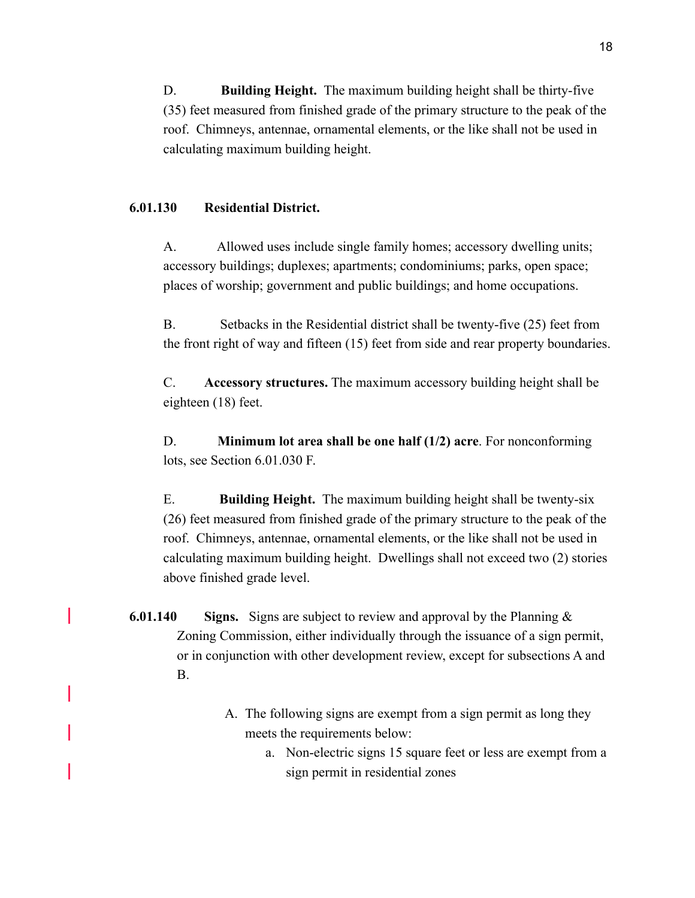D. **Building Height.** The maximum building height shall be thirty-five (35) feet measured from finished grade of the primary structure to the peak of the roof. Chimneys, antennae, ornamental elements, or the like shall not be used in calculating maximum building height.

#### **6.01.130 Residential District.**

A. Allowed uses include single family homes; accessory dwelling units; accessory buildings; duplexes; apartments; condominiums; parks, open space; places of worship; government and public buildings; and home occupations.

B. Setbacks in the Residential district shall be twenty-five (25) feet from the front right of way and fifteen (15) feet from side and rear property boundaries.

C. **Accessory structures.** The maximum accessory building height shall be eighteen (18) feet.

D. **Minimum lot area shall be one half (1/2) acre**. For nonconforming lots, see Section 6.01.030 F.

E. **Building Height.** The maximum building height shall be twenty-six (26) feet measured from finished grade of the primary structure to the peak of the roof. Chimneys, antennae, ornamental elements, or the like shall not be used in calculating maximum building height. Dwellings shall not exceed two (2) stories above finished grade level.

- **6.01.140 Signs.** Signs are subject to review and approval by the Planning & Zoning Commission, either individually through the issuance of a sign permit, or in conjunction with other development review, except for subsections A and B.
	- A. The following signs are exempt from a sign permit as long they meets the requirements below:
		- a. Non-electric signs 15 square feet or less are exempt from a sign permit in residential zones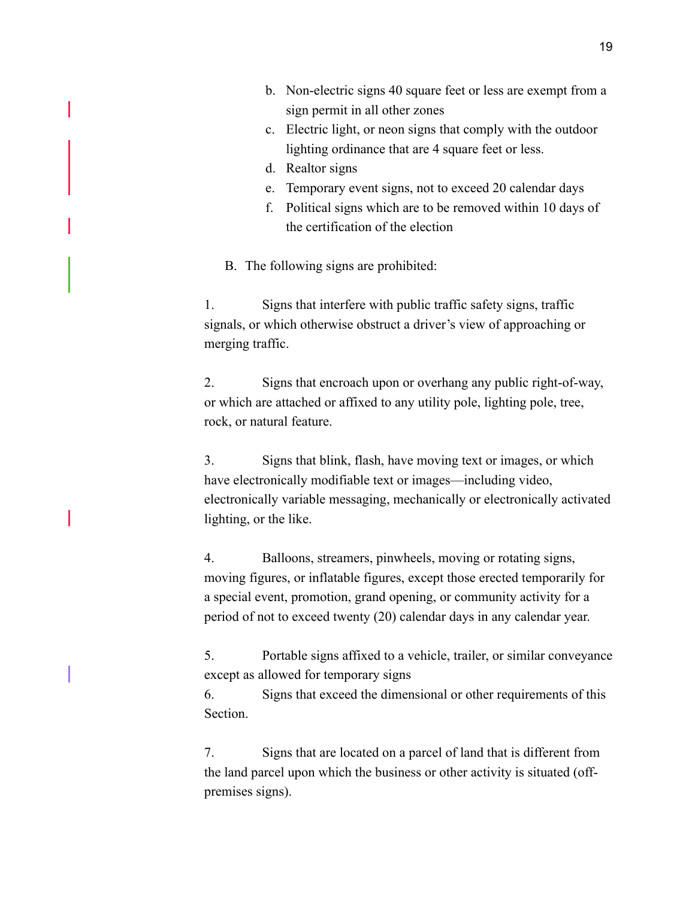- b. Non-electric signs 40 square feet or less are exempt from a sign permit in all other zones
- c. Electric light, or neon signs that comply with the outdoor lighting ordinance that are 4 square feet or less.
- d. Realtor signs
- e. Temporary event signs, not to exceed 20 calendar days
- f. Political signs which are to be removed within 10 days of the certification of the election

B. The following signs are prohibited:

1. Signs that interfere with public traffic safety signs, traffic signals, or which otherwise obstruct a driver's view of approaching or merging traffic.

2. Signs that encroach upon or overhang any public right-of-way, or which are attached or affixed to any utility pole, lighting pole, tree, rock, or natural feature.

3. Signs that blink, flash, have moving text or images, or which have electronically modifiable text or images—including video, electronically variable messaging, mechanically or electronically activated lighting, or the like.

4. Balloons, streamers, pinwheels, moving or rotating signs, moving figures, or inflatable figures, except those erected temporarily for a special event, promotion, grand opening, or community activity for a period of not to exceed twenty (20) calendar days in any calendar year.

5. Portable signs affixed to a vehicle, trailer, or similar conveyance except as allowed for temporary signs

6. Signs that exceed the dimensional or other requirements of this Section.

7. Signs that are located on a parcel of land that is different from the land parcel upon which the business or other activity is situated (offpremises signs).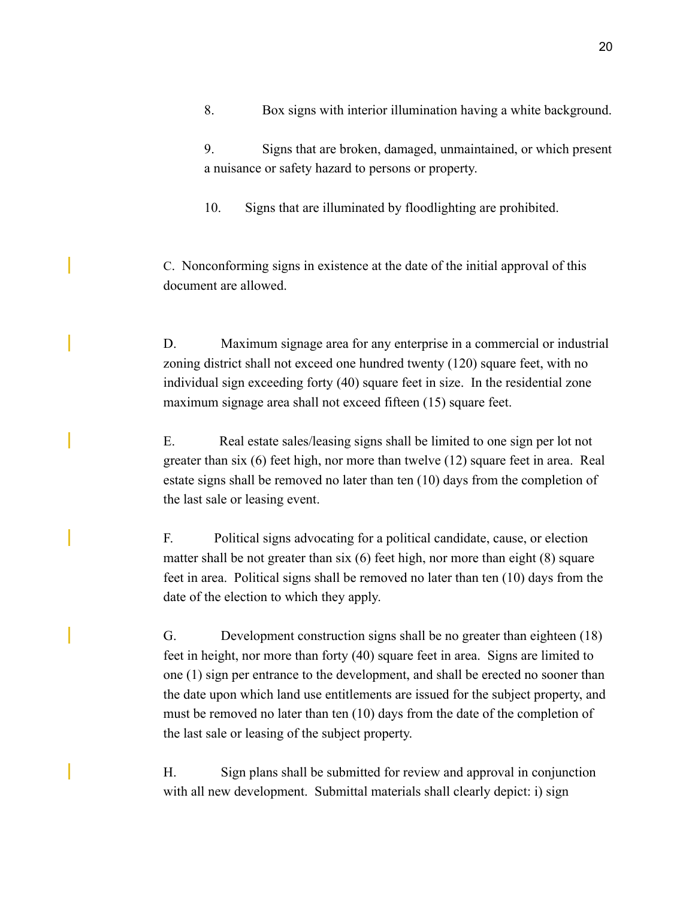9. Signs that are broken, damaged, unmaintained, or which present a nuisance or safety hazard to persons or property.

10. Signs that are illuminated by floodlighting are prohibited.

C. Nonconforming signs in existence at the date of the initial approval of this document are allowed.

D. Maximum signage area for any enterprise in a commercial or industrial zoning district shall not exceed one hundred twenty (120) square feet, with no individual sign exceeding forty (40) square feet in size. In the residential zone maximum signage area shall not exceed fifteen (15) square feet.

E. Real estate sales/leasing signs shall be limited to one sign per lot not greater than six (6) feet high, nor more than twelve (12) square feet in area. Real estate signs shall be removed no later than ten (10) days from the completion of the last sale or leasing event.

F. Political signs advocating for a political candidate, cause, or election matter shall be not greater than six (6) feet high, nor more than eight (8) square feet in area. Political signs shall be removed no later than ten (10) days from the date of the election to which they apply.

G. Development construction signs shall be no greater than eighteen (18) feet in height, nor more than forty (40) square feet in area. Signs are limited to one (1) sign per entrance to the development, and shall be erected no sooner than the date upon which land use entitlements are issued for the subject property, and must be removed no later than ten (10) days from the date of the completion of the last sale or leasing of the subject property.

H. Sign plans shall be submitted for review and approval in conjunction with all new development. Submittal materials shall clearly depict: i) sign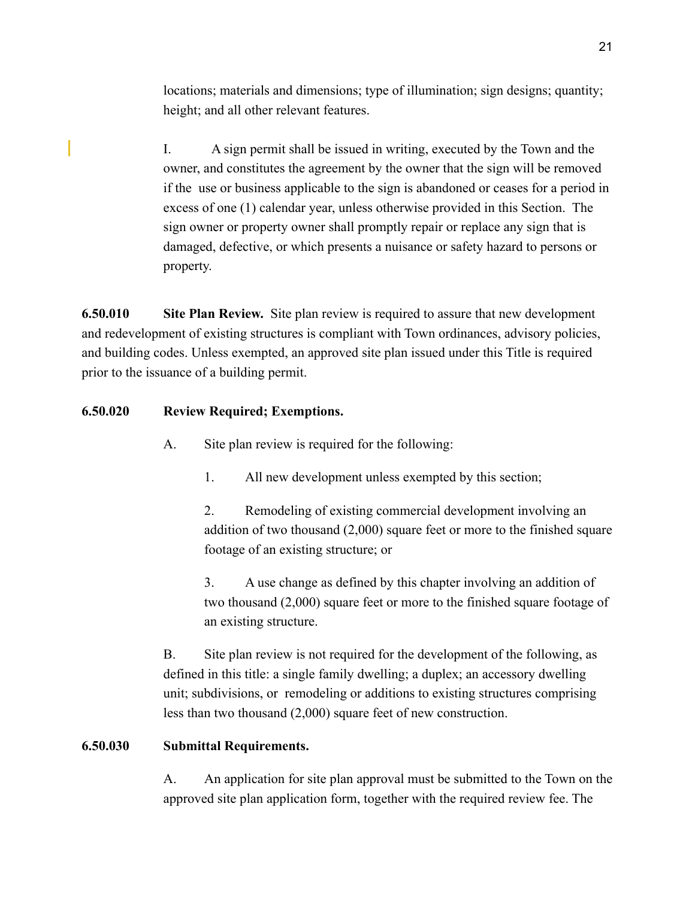locations; materials and dimensions; type of illumination; sign designs; quantity; height; and all other relevant features.

I. A sign permit shall be issued in writing, executed by the Town and the owner, and constitutes the agreement by the owner that the sign will be removed if the use or business applicable to the sign is abandoned or ceases for a period in excess of one (1) calendar year, unless otherwise provided in this Section. The sign owner or property owner shall promptly repair or replace any sign that is damaged, defective, or which presents a nuisance or safety hazard to persons or property.

**6.50.010 Site Plan Review.** Site plan review is required to assure that new development and redevelopment of existing structures is compliant with Town ordinances, advisory policies, and building codes. Unless exempted, an approved site plan issued under this Title is required prior to the issuance of a building permit.

## **6.50.020 Review Required; Exemptions.**

- A. Site plan review is required for the following:
	- 1. All new development unless exempted by this section;

2. Remodeling of existing commercial development involving an addition of two thousand (2,000) square feet or more to the finished square footage of an existing structure; or

3. A use change as defined by this chapter involving an addition of two thousand (2,000) square feet or more to the finished square footage of an existing structure.

B. Site plan review is not required for the development of the following, as defined in this title: a single family dwelling; a duplex; an accessory dwelling unit; subdivisions, or remodeling or additions to existing structures comprising less than two thousand (2,000) square feet of new construction.

## **6.50.030 Submittal Requirements.**

A. An application for site plan approval must be submitted to the Town on the approved site plan application form, together with the required review fee. The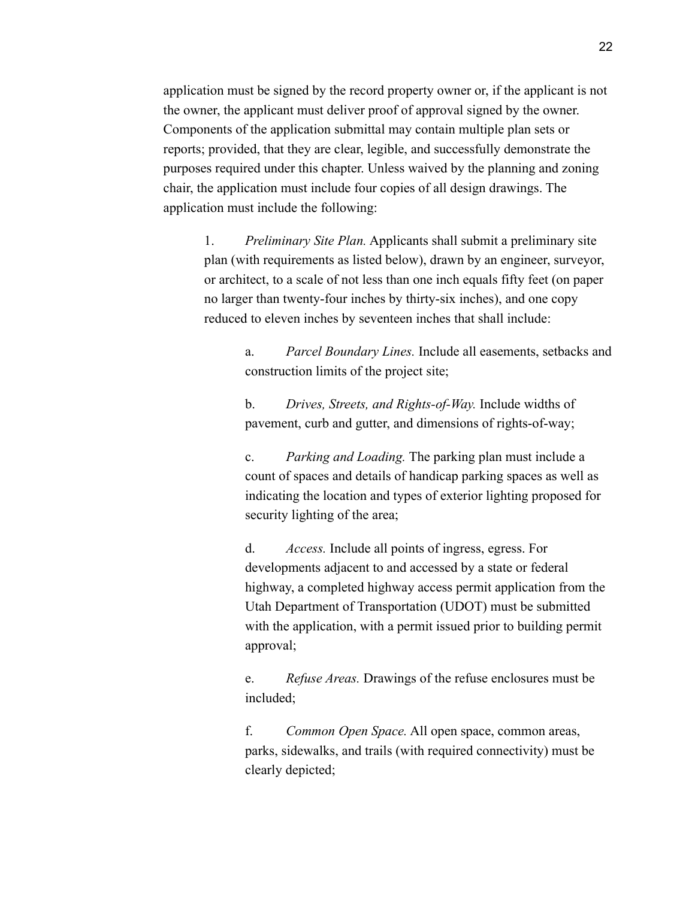application must be signed by the record property owner or, if the applicant is not the owner, the applicant must deliver proof of approval signed by the owner. Components of the application submittal may contain multiple plan sets or reports; provided, that they are clear, legible, and successfully demonstrate the purposes required under this chapter. Unless waived by the planning and zoning chair, the application must include four copies of all design drawings. The application must include the following:

1. *Preliminary Site Plan.* Applicants shall submit a preliminary site plan (with requirements as listed below), drawn by an engineer, surveyor, or architect, to a scale of not less than one inch equals fifty feet (on paper no larger than twenty-four inches by thirty-six inches), and one copy reduced to eleven inches by seventeen inches that shall include:

> a. *Parcel Boundary Lines.* Include all easements, setbacks and construction limits of the project site;

b. *Drives, Streets, and Rights-of-Way.* Include widths of pavement, curb and gutter, and dimensions of rights-of-way;

c. *Parking and Loading.* The parking plan must include a count of spaces and details of handicap parking spaces as well as indicating the location and types of exterior lighting proposed for security lighting of the area;

d. *Access.* Include all points of ingress, egress. For developments adjacent to and accessed by a state or federal highway, a completed highway access permit application from the Utah Department of Transportation (UDOT) must be submitted with the application, with a permit issued prior to building permit approval;

e. *Refuse Areas.* Drawings of the refuse enclosures must be included;

f. *Common Open Space.* All open space, common areas, parks, sidewalks, and trails (with required connectivity) must be clearly depicted;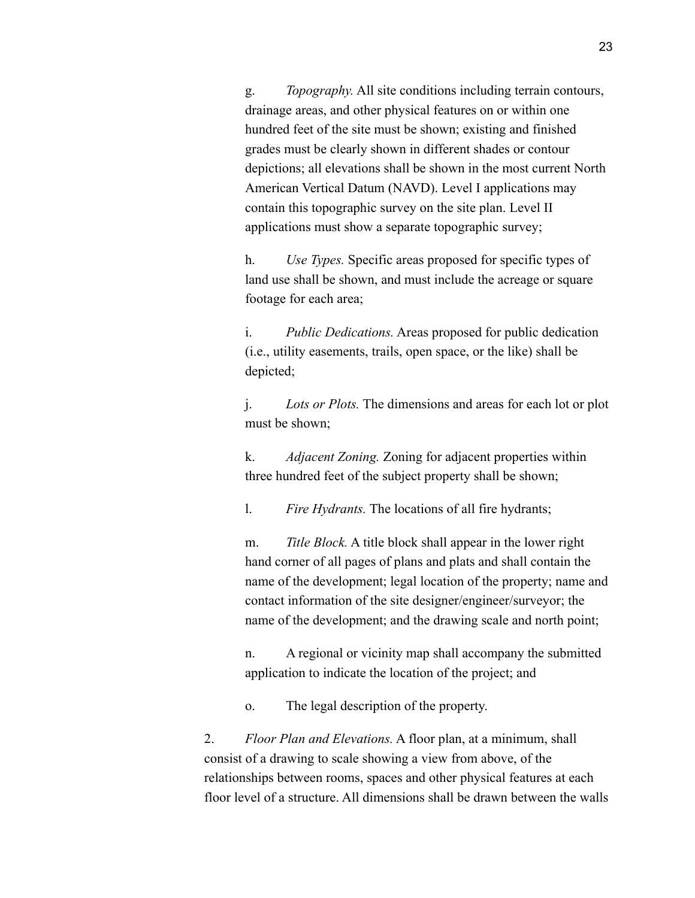g. *Topography.* All site conditions including terrain contours, drainage areas, and other physical features on or within one hundred feet of the site must be shown; existing and finished grades must be clearly shown in different shades or contour depictions; all elevations shall be shown in the most current North American Vertical Datum (NAVD). Level I applications may contain this topographic survey on the site plan. Level II applications must show a separate topographic survey;

h. *Use Types.* Specific areas proposed for specific types of land use shall be shown, and must include the acreage or square footage for each area;

i. *Public Dedications.* Areas proposed for public dedication (i.e., utility easements, trails, open space, or the like) shall be depicted;

j. *Lots or Plots.* The dimensions and areas for each lot or plot must be shown;

k. *Adjacent Zoning.* Zoning for adjacent properties within three hundred feet of the subject property shall be shown;

l. *Fire Hydrants.* The locations of all fire hydrants;

m. *Title Block.* A title block shall appear in the lower right hand corner of all pages of plans and plats and shall contain the name of the development; legal location of the property; name and contact information of the site designer/engineer/surveyor; the name of the development; and the drawing scale and north point;

n. A regional or vicinity map shall accompany the submitted application to indicate the location of the project; and

o. The legal description of the property.

2. *Floor Plan and Elevations.* A floor plan, at a minimum, shall consist of a drawing to scale showing a view from above, of the relationships between rooms, spaces and other physical features at each floor level of a structure. All dimensions shall be drawn between the walls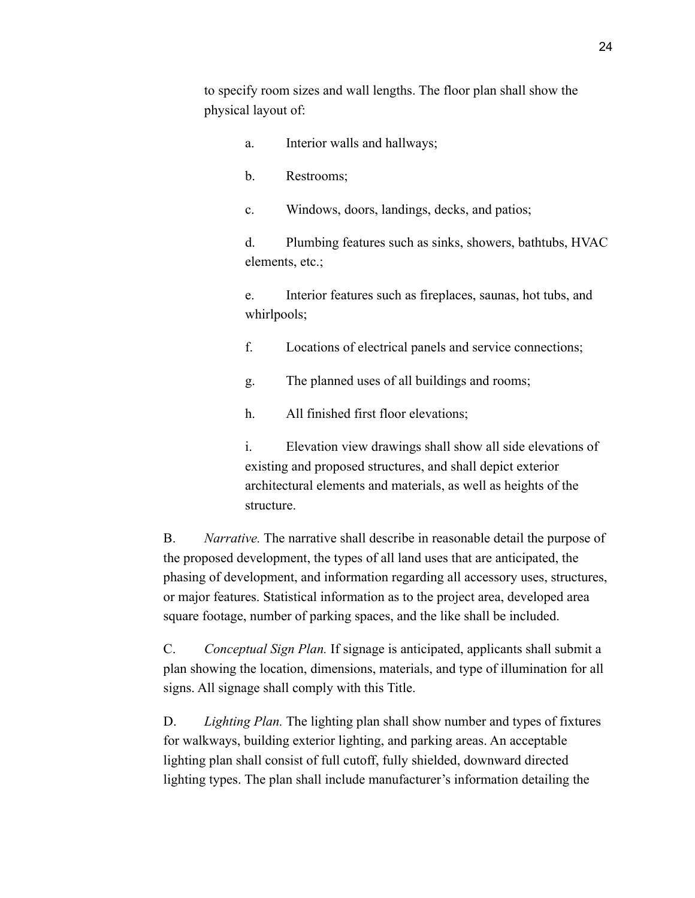to specify room sizes and wall lengths. The floor plan shall show the physical layout of:

- a. Interior walls and hallways;
- b. Restrooms;

c. Windows, doors, landings, decks, and patios;

d. Plumbing features such as sinks, showers, bathtubs, HVAC elements, etc.;

e. Interior features such as fireplaces, saunas, hot tubs, and whirlpools;

f. Locations of electrical panels and service connections;

g. The planned uses of all buildings and rooms;

h. All finished first floor elevations;

i. Elevation view drawings shall show all side elevations of existing and proposed structures, and shall depict exterior architectural elements and materials, as well as heights of the structure.

B. *Narrative.* The narrative shall describe in reasonable detail the purpose of the proposed development, the types of all land uses that are anticipated, the phasing of development, and information regarding all accessory uses, structures, or major features. Statistical information as to the project area, developed area square footage, number of parking spaces, and the like shall be included.

C. *Conceptual Sign Plan.* If signage is anticipated, applicants shall submit a plan showing the location, dimensions, materials, and type of illumination for all signs. All signage shall comply with this Title.

D. *Lighting Plan.* The lighting plan shall show number and types of fixtures for walkways, building exterior lighting, and parking areas. An acceptable lighting plan shall consist of full cutoff, fully shielded, downward directed lighting types. The plan shall include manufacturer's information detailing the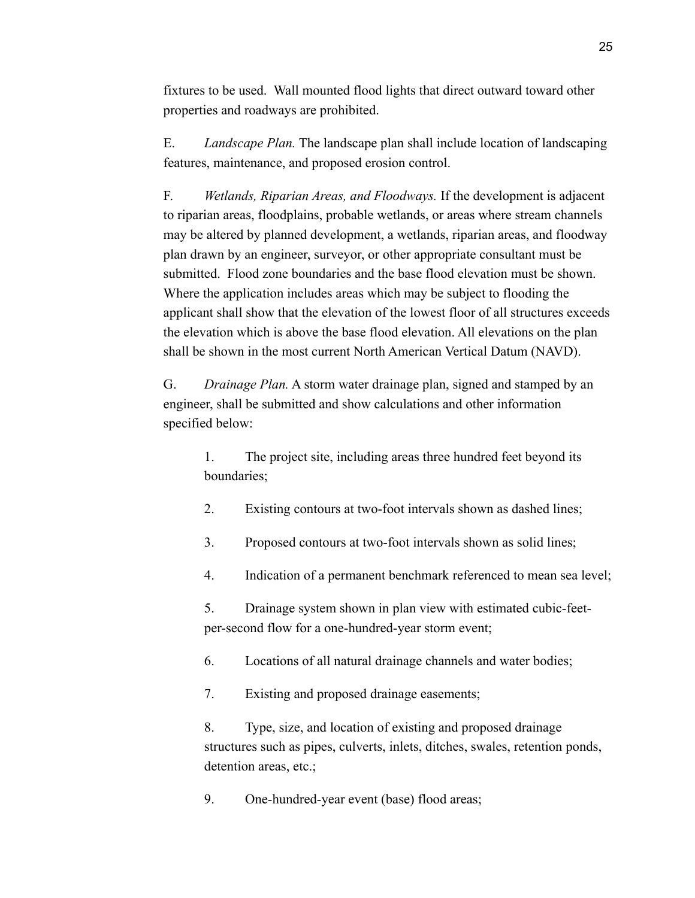fixtures to be used. Wall mounted flood lights that direct outward toward other properties and roadways are prohibited.

E. *Landscape Plan.* The landscape plan shall include location of landscaping features, maintenance, and proposed erosion control.

F. *Wetlands, Riparian Areas, and Floodways.* If the development is adjacent to riparian areas, floodplains, probable wetlands, or areas where stream channels may be altered by planned development, a wetlands, riparian areas, and floodway plan drawn by an engineer, surveyor, or other appropriate consultant must be submitted. Flood zone boundaries and the base flood elevation must be shown. Where the application includes areas which may be subject to flooding the applicant shall show that the elevation of the lowest floor of all structures exceeds the elevation which is above the base flood elevation. All elevations on the plan shall be shown in the most current North American Vertical Datum (NAVD).

G. *Drainage Plan.* A storm water drainage plan, signed and stamped by an engineer, shall be submitted and show calculations and other information specified below:

1. The project site, including areas three hundred feet beyond its boundaries;

- 2. Existing contours at two-foot intervals shown as dashed lines;
- 3. Proposed contours at two-foot intervals shown as solid lines;
- 4. Indication of a permanent benchmark referenced to mean sea level;

5. Drainage system shown in plan view with estimated cubic-feetper-second flow for a one-hundred-year storm event;

6. Locations of all natural drainage channels and water bodies;

7. Existing and proposed drainage easements;

8. Type, size, and location of existing and proposed drainage structures such as pipes, culverts, inlets, ditches, swales, retention ponds, detention areas, etc.;

9. One-hundred-year event (base) flood areas;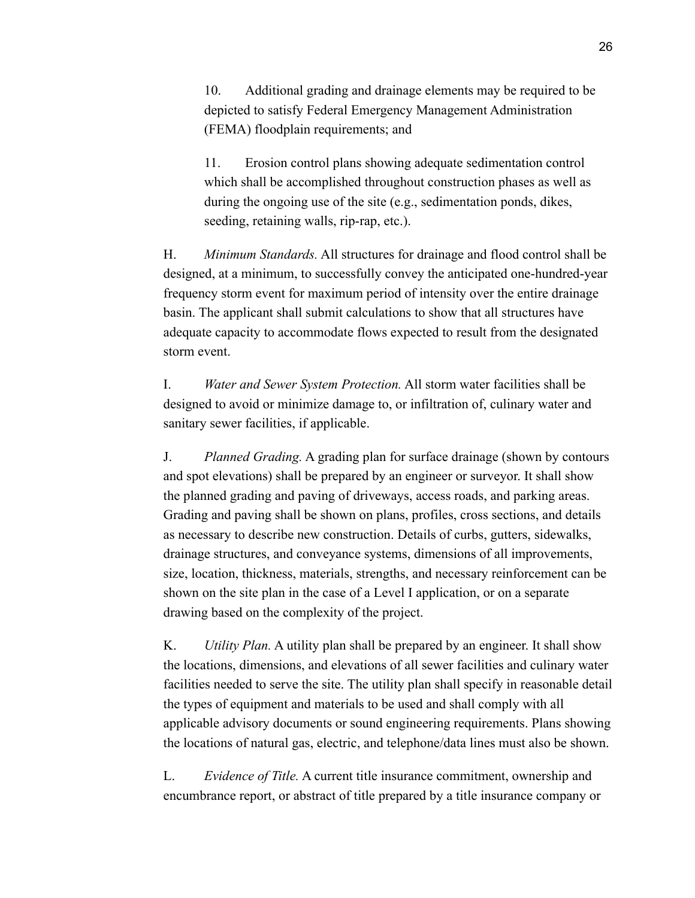10. Additional grading and drainage elements may be required to be depicted to satisfy Federal Emergency Management Administration (FEMA) floodplain requirements; and

11. Erosion control plans showing adequate sedimentation control which shall be accomplished throughout construction phases as well as during the ongoing use of the site (e.g., sedimentation ponds, dikes, seeding, retaining walls, rip-rap, etc.).

H. *Minimum Standards.* All structures for drainage and flood control shall be designed, at a minimum, to successfully convey the anticipated one-hundred-year frequency storm event for maximum period of intensity over the entire drainage basin. The applicant shall submit calculations to show that all structures have adequate capacity to accommodate flows expected to result from the designated storm event.

I. *Water and Sewer System Protection.* All storm water facilities shall be designed to avoid or minimize damage to, or infiltration of, culinary water and sanitary sewer facilities, if applicable.

J. *Planned Grading.* A grading plan for surface drainage (shown by contours and spot elevations) shall be prepared by an engineer or surveyor. It shall show the planned grading and paving of driveways, access roads, and parking areas. Grading and paving shall be shown on plans, profiles, cross sections, and details as necessary to describe new construction. Details of curbs, gutters, sidewalks, drainage structures, and conveyance systems, dimensions of all improvements, size, location, thickness, materials, strengths, and necessary reinforcement can be shown on the site plan in the case of a Level I application, or on a separate drawing based on the complexity of the project.

K. *Utility Plan.* A utility plan shall be prepared by an engineer. It shall show the locations, dimensions, and elevations of all sewer facilities and culinary water facilities needed to serve the site. The utility plan shall specify in reasonable detail the types of equipment and materials to be used and shall comply with all applicable advisory documents or sound engineering requirements. Plans showing the locations of natural gas, electric, and telephone/data lines must also be shown.

L. *Evidence of Title.* A current title insurance commitment, ownership and encumbrance report, or abstract of title prepared by a title insurance company or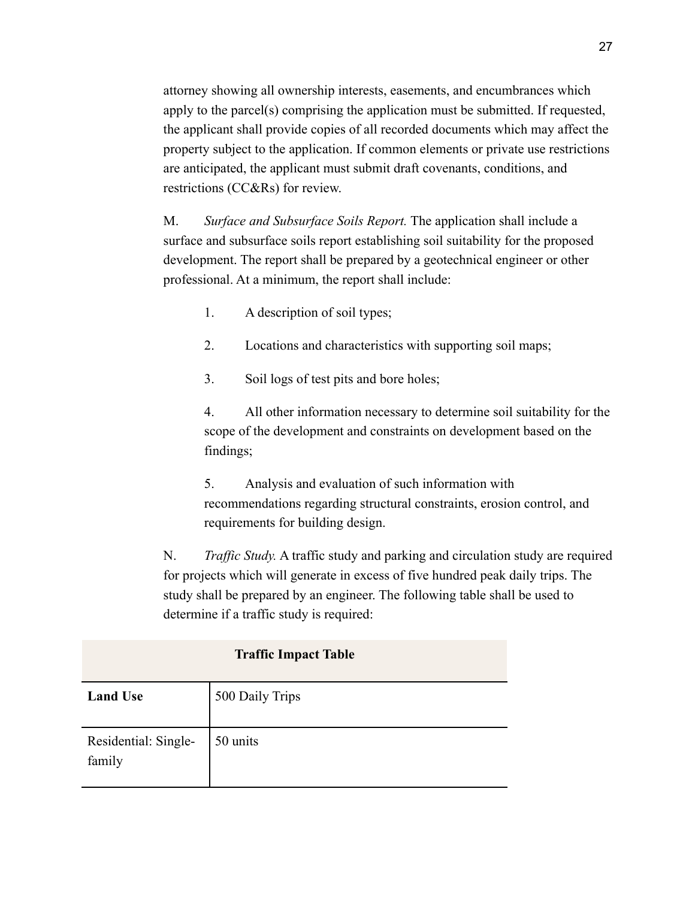attorney showing all ownership interests, easements, and encumbrances which apply to the parcel(s) comprising the application must be submitted. If requested, the applicant shall provide copies of all recorded documents which may affect the property subject to the application. If common elements or private use restrictions are anticipated, the applicant must submit draft covenants, conditions, and restrictions (CC&Rs) for review.

M. *Surface and Subsurface Soils Report.* The application shall include a surface and subsurface soils report establishing soil suitability for the proposed development. The report shall be prepared by a geotechnical engineer or other professional. At a minimum, the report shall include:

- 1. A description of soil types;
- 2. Locations and characteristics with supporting soil maps;
- 3. Soil logs of test pits and bore holes;

4. All other information necessary to determine soil suitability for the scope of the development and constraints on development based on the findings;

5. Analysis and evaluation of such information with recommendations regarding structural constraints, erosion control, and requirements for building design.

N. *Traffic Study.* A traffic study and parking and circulation study are required for projects which will generate in excess of five hundred peak daily trips. The study shall be prepared by an engineer. The following table shall be used to determine if a traffic study is required:

| <b>Traffic Impact Table</b>    |                 |
|--------------------------------|-----------------|
| <b>Land Use</b>                | 500 Daily Trips |
| Residential: Single-<br>family | 50 units        |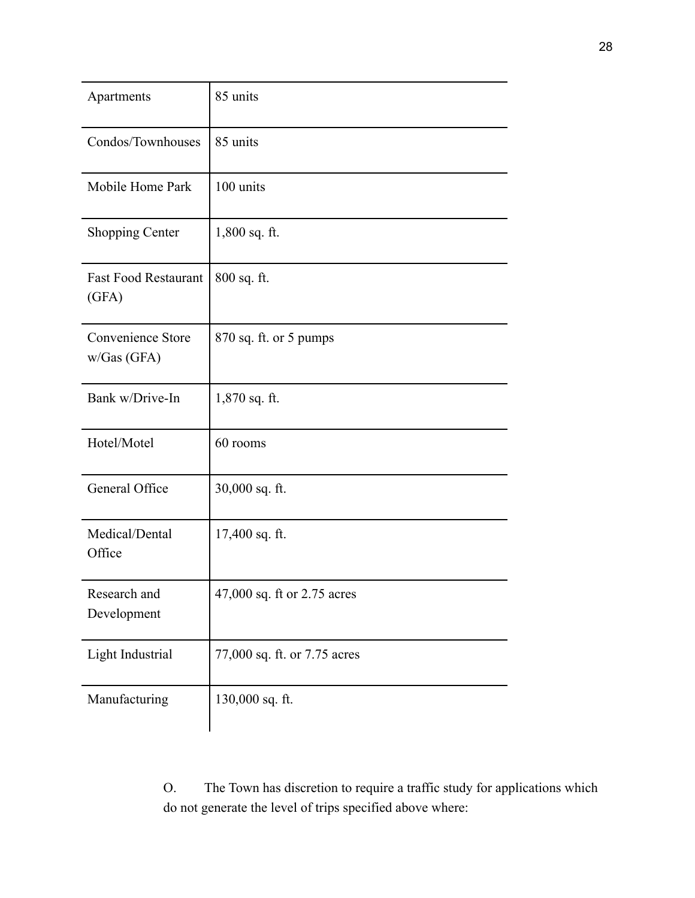| Apartments                           | 85 units                     |
|--------------------------------------|------------------------------|
| Condos/Townhouses                    | 85 units                     |
| Mobile Home Park                     | 100 units                    |
| <b>Shopping Center</b>               | $1,800$ sq. ft.              |
| <b>Fast Food Restaurant</b><br>(GFA) | 800 sq. ft.                  |
| Convenience Store<br>w/Gas(GFA)      | 870 sq. ft. or 5 pumps       |
| Bank w/Drive-In                      | 1,870 sq. ft.                |
| Hotel/Motel                          | 60 rooms                     |
| General Office                       | 30,000 sq. ft.               |
| Medical/Dental<br>Office             | 17,400 sq. ft.               |
| Research and<br>Development          | 47,000 sq. ft or 2.75 acres  |
| Light Industrial                     | 77,000 sq. ft. or 7.75 acres |
| Manufacturing                        | 130,000 sq. ft.              |

O. The Town has discretion to require a traffic study for applications which do not generate the level of trips specified above where: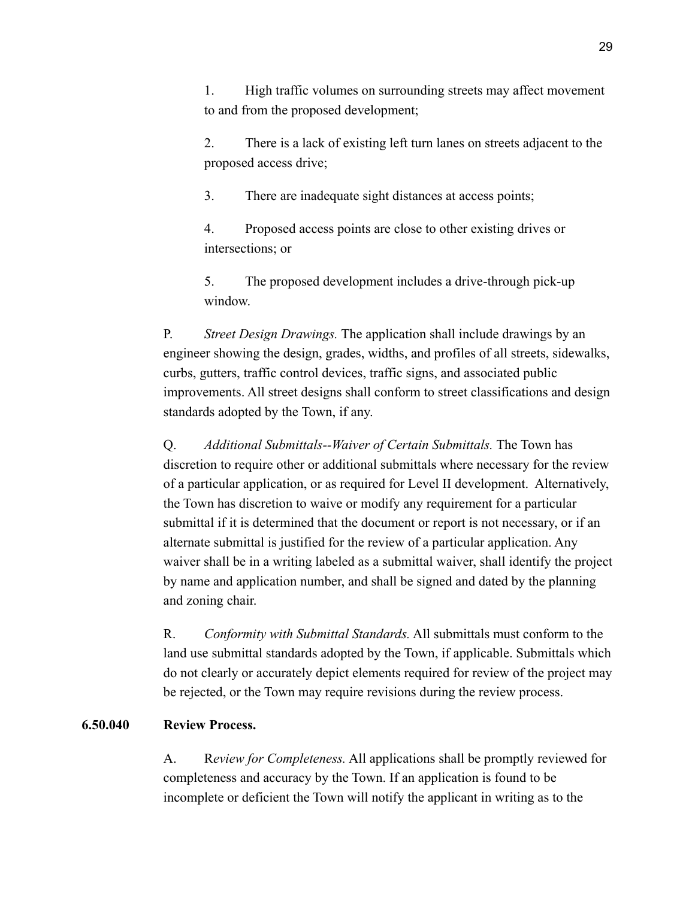1. High traffic volumes on surrounding streets may affect movement to and from the proposed development;

2. There is a lack of existing left turn lanes on streets adjacent to the proposed access drive;

3. There are inadequate sight distances at access points;

4. Proposed access points are close to other existing drives or intersections; or

5. The proposed development includes a drive-through pick-up window.

P. *Street Design Drawings.* The application shall include drawings by an engineer showing the design, grades, widths, and profiles of all streets, sidewalks, curbs, gutters, traffic control devices, traffic signs, and associated public improvements. All street designs shall conform to street classifications and design standards adopted by the Town, if any.

Q. *Additional Submittals--Waiver of Certain Submittals.* The Town has discretion to require other or additional submittals where necessary for the review of a particular application, or as required for Level II development. Alternatively, the Town has discretion to waive or modify any requirement for a particular submittal if it is determined that the document or report is not necessary, or if an alternate submittal is justified for the review of a particular application. Any waiver shall be in a writing labeled as a submittal waiver, shall identify the project by name and application number, and shall be signed and dated by the planning and zoning chair.

R. *Conformity with Submittal Standards.* All submittals must conform to the land use submittal standards adopted by the Town, if applicable. Submittals which do not clearly or accurately depict elements required for review of the project may be rejected, or the Town may require revisions during the review process.

#### **6.50.040 Review Process.**

A. R*eview for Completeness.* All applications shall be promptly reviewed for completeness and accuracy by the Town. If an application is found to be incomplete or deficient the Town will notify the applicant in writing as to the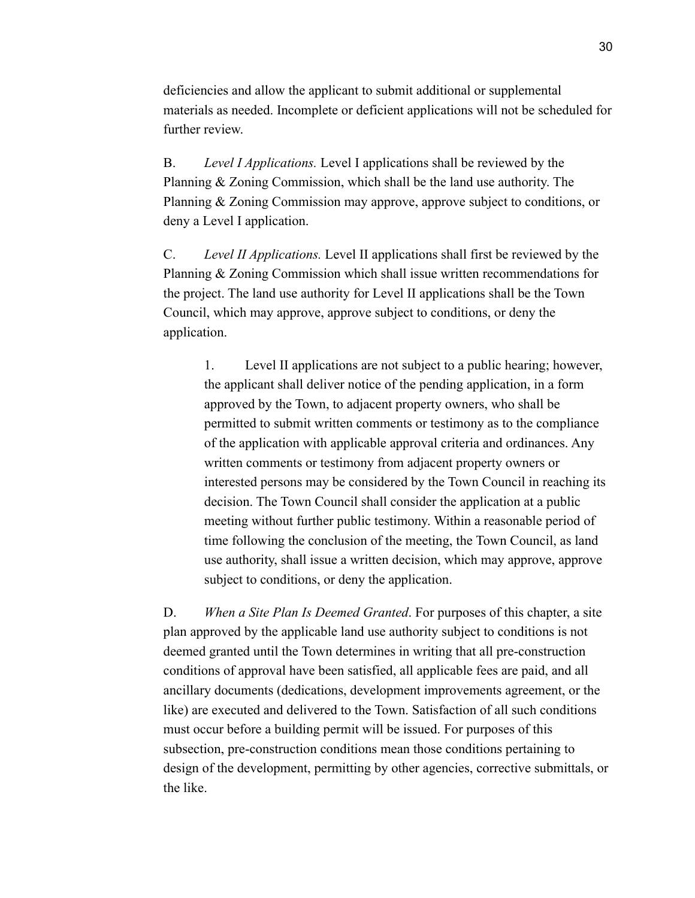deficiencies and allow the applicant to submit additional or supplemental materials as needed. Incomplete or deficient applications will not be scheduled for further review.

B. *Level I Applications.* Level I applications shall be reviewed by the Planning & Zoning Commission, which shall be the land use authority. The Planning & Zoning Commission may approve, approve subject to conditions, or deny a Level I application.

C. *Level II Applications.* Level II applications shall first be reviewed by the Planning & Zoning Commission which shall issue written recommendations for the project. The land use authority for Level II applications shall be the Town Council, which may approve, approve subject to conditions, or deny the application.

1. Level II applications are not subject to a public hearing; however, the applicant shall deliver notice of the pending application, in a form approved by the Town, to adjacent property owners, who shall be permitted to submit written comments or testimony as to the compliance of the application with applicable approval criteria and ordinances. Any written comments or testimony from adjacent property owners or interested persons may be considered by the Town Council in reaching its decision. The Town Council shall consider the application at a public meeting without further public testimony. Within a reasonable period of time following the conclusion of the meeting, the Town Council, as land use authority, shall issue a written decision, which may approve, approve subject to conditions, or deny the application.

D. *When a Site Plan Is Deemed Granted*. For purposes of this chapter, a site plan approved by the applicable land use authority subject to conditions is not deemed granted until the Town determines in writing that all pre-construction conditions of approval have been satisfied, all applicable fees are paid, and all ancillary documents (dedications, development improvements agreement, or the like) are executed and delivered to the Town. Satisfaction of all such conditions must occur before a building permit will be issued. For purposes of this subsection, pre-construction conditions mean those conditions pertaining to design of the development, permitting by other agencies, corrective submittals, or the like.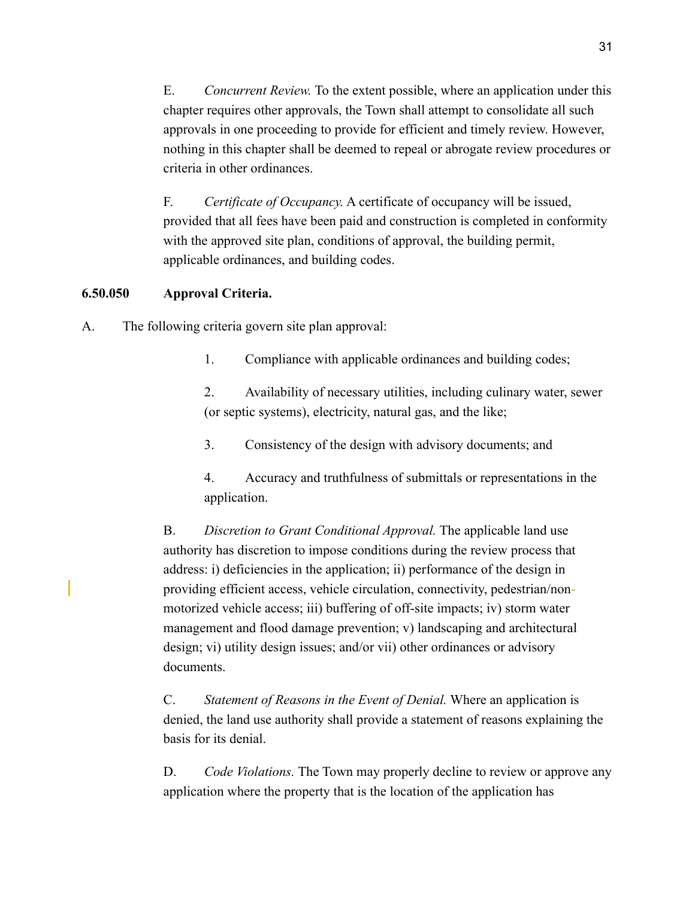E. *Concurrent Review.* To the extent possible, where an application under this chapter requires other approvals, the Town shall attempt to consolidate all such approvals in one proceeding to provide for efficient and timely review. However, nothing in this chapter shall be deemed to repeal or abrogate review procedures or criteria in other ordinances.

F. *Certificate of Occupancy.* A certificate of occupancy will be issued, provided that all fees have been paid and construction is completed in conformity with the approved site plan, conditions of approval, the building permit, applicable ordinances, and building codes.

## **6.50.050 Approval Criteria.**

A. The following criteria govern site plan approval:

1. Compliance with applicable ordinances and building codes;

2. Availability of necessary utilities, including culinary water, sewer (or septic systems), electricity, natural gas, and the like;

3. Consistency of the design with advisory documents; and

4. Accuracy and truthfulness of submittals or representations in the application.

B. *Discretion to Grant Conditional Approval.* The applicable land use authority has discretion to impose conditions during the review process that address: i) deficiencies in the application; ii) performance of the design in providing efficient access, vehicle circulation, connectivity, pedestrian/nonmotorized vehicle access; iii) buffering of off-site impacts; iv) storm water management and flood damage prevention; v) landscaping and architectural design; vi) utility design issues; and/or vii) other ordinances or advisory documents.

C. *Statement of Reasons in the Event of Denial.* Where an application is denied, the land use authority shall provide a statement of reasons explaining the basis for its denial.

D. *Code Violations.* The Town may properly decline to review or approve any application where the property that is the location of the application has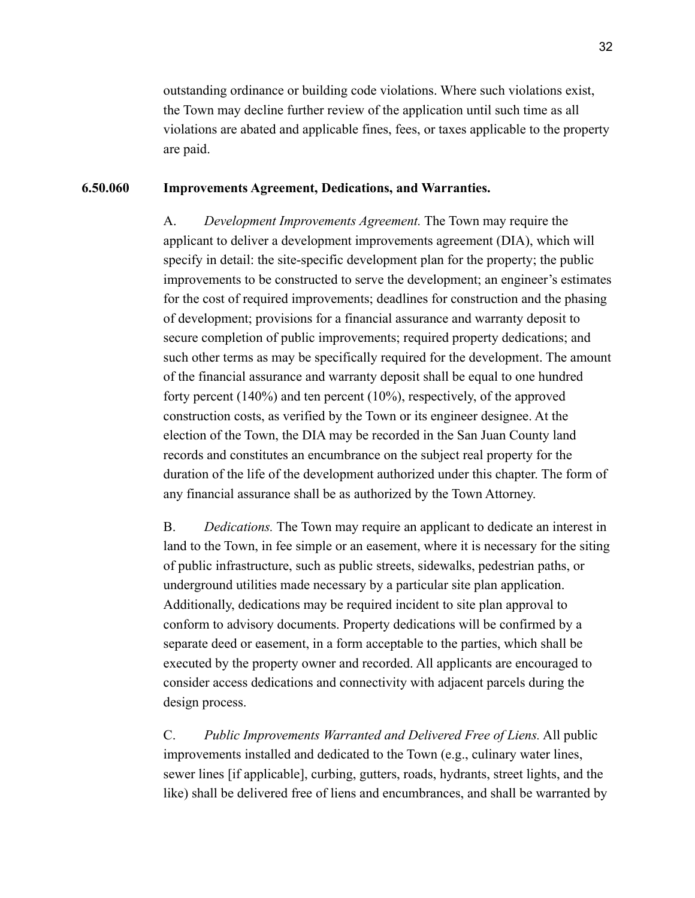outstanding ordinance or building code violations. Where such violations exist, the Town may decline further review of the application until such time as all violations are abated and applicable fines, fees, or taxes applicable to the property are paid.

#### **6.50.060 Improvements Agreement, Dedications, and Warranties.**

A. *Development Improvements Agreement.* The Town may require the applicant to deliver a development improvements agreement (DIA), which will specify in detail: the site-specific development plan for the property; the public improvements to be constructed to serve the development; an engineer's estimates for the cost of required improvements; deadlines for construction and the phasing of development; provisions for a financial assurance and warranty deposit to secure completion of public improvements; required property dedications; and such other terms as may be specifically required for the development. The amount of the financial assurance and warranty deposit shall be equal to one hundred forty percent (140%) and ten percent (10%), respectively, of the approved construction costs, as verified by the Town or its engineer designee. At the election of the Town, the DIA may be recorded in the San Juan County land records and constitutes an encumbrance on the subject real property for the duration of the life of the development authorized under this chapter. The form of any financial assurance shall be as authorized by the Town Attorney.

B. *Dedications.* The Town may require an applicant to dedicate an interest in land to the Town, in fee simple or an easement, where it is necessary for the siting of public infrastructure, such as public streets, sidewalks, pedestrian paths, or underground utilities made necessary by a particular site plan application. Additionally, dedications may be required incident to site plan approval to conform to advisory documents. Property dedications will be confirmed by a separate deed or easement, in a form acceptable to the parties, which shall be executed by the property owner and recorded. All applicants are encouraged to consider access dedications and connectivity with adjacent parcels during the design process.

C. *Public Improvements Warranted and Delivered Free of Liens.* All public improvements installed and dedicated to the Town (e.g., culinary water lines, sewer lines [if applicable], curbing, gutters, roads, hydrants, street lights, and the like) shall be delivered free of liens and encumbrances, and shall be warranted by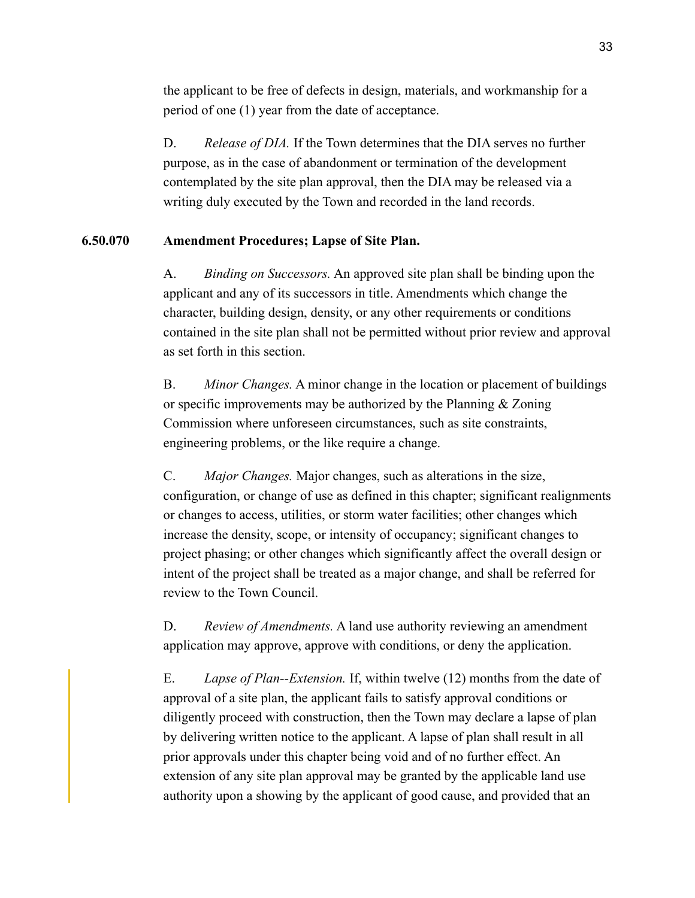the applicant to be free of defects in design, materials, and workmanship for a period of one (1) year from the date of acceptance.

D. *Release of DIA.* If the Town determines that the DIA serves no further purpose, as in the case of abandonment or termination of the development contemplated by the site plan approval, then the DIA may be released via a writing duly executed by the Town and recorded in the land records.

#### **6.50.070 Amendment Procedures; Lapse of Site Plan.**

A. *Binding on Successors.* An approved site plan shall be binding upon the applicant and any of its successors in title. Amendments which change the character, building design, density, or any other requirements or conditions contained in the site plan shall not be permitted without prior review and approval as set forth in this section.

B. *Minor Changes.* A minor change in the location or placement of buildings or specific improvements may be authorized by the Planning & Zoning Commission where unforeseen circumstances, such as site constraints, engineering problems, or the like require a change.

C. *Major Changes.* Major changes, such as alterations in the size, configuration, or change of use as defined in this chapter; significant realignments or changes to access, utilities, or storm water facilities; other changes which increase the density, scope, or intensity of occupancy; significant changes to project phasing; or other changes which significantly affect the overall design or intent of the project shall be treated as a major change, and shall be referred for review to the Town Council.

D. *Review of Amendments.* A land use authority reviewing an amendment application may approve, approve with conditions, or deny the application.

 E. *Lapse of Plan--Extension.* If, within twelve (12) months from the date of approval of a site plan, the applicant fails to satisfy approval conditions or diligently proceed with construction, then the Town may declare a lapse of plan by delivering written notice to the applicant. A lapse of plan shall result in all prior approvals under this chapter being void and of no further effect. An extension of any site plan approval may be granted by the applicable land use authority upon a showing by the applicant of good cause, and provided that an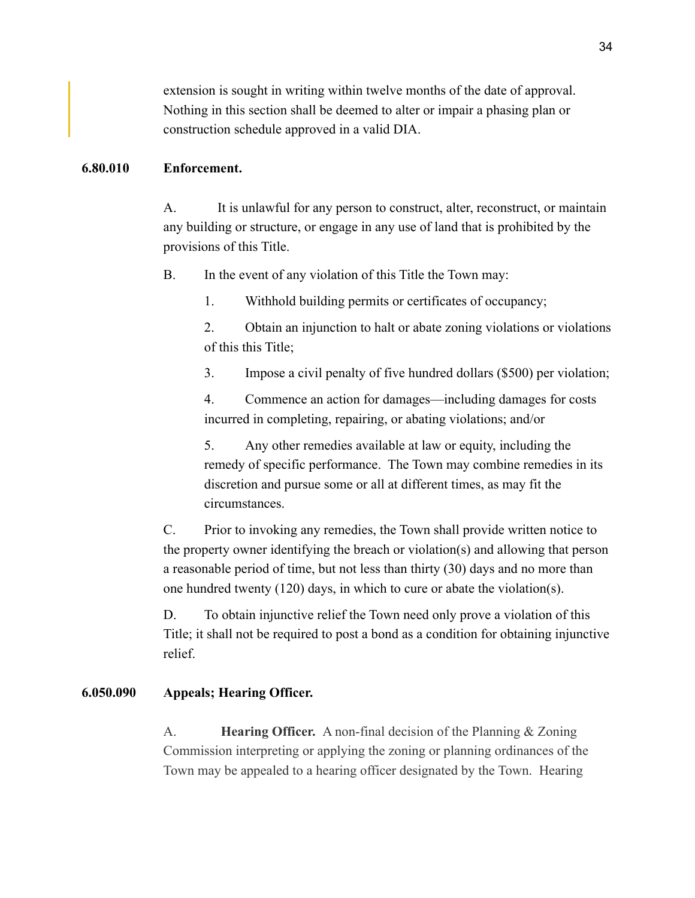extension is sought in writing within twelve months of the date of approval. Nothing in this section shall be deemed to alter or impair a phasing plan or construction schedule approved in a valid DIA.

#### **6.80.010 Enforcement.**

A. It is unlawful for any person to construct, alter, reconstruct, or maintain any building or structure, or engage in any use of land that is prohibited by the provisions of this Title.

B. In the event of any violation of this Title the Town may:

1. Withhold building permits or certificates of occupancy;

2. Obtain an injunction to halt or abate zoning violations or violations of this this Title;

3. Impose a civil penalty of five hundred dollars (\$500) per violation;

4. Commence an action for damages—including damages for costs incurred in completing, repairing, or abating violations; and/or

5. Any other remedies available at law or equity, including the remedy of specific performance. The Town may combine remedies in its discretion and pursue some or all at different times, as may fit the circumstances.

C. Prior to invoking any remedies, the Town shall provide written notice to the property owner identifying the breach or violation(s) and allowing that person a reasonable period of time, but not less than thirty (30) days and no more than one hundred twenty (120) days, in which to cure or abate the violation(s).

D. To obtain injunctive relief the Town need only prove a violation of this Title; it shall not be required to post a bond as a condition for obtaining injunctive relief.

## **6.050.090 Appeals; Hearing Officer.**

A. **Hearing Officer.** A non-final decision of the Planning & Zoning Commission interpreting or applying the zoning or planning ordinances of the Town may be appealed to a hearing officer designated by the Town. Hearing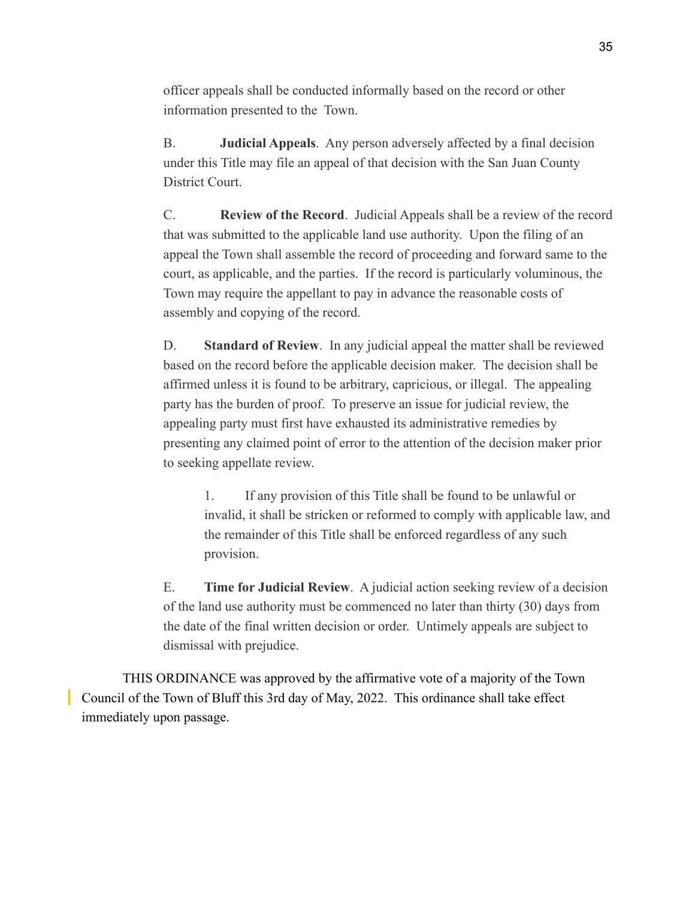officer appeals shall be conducted informally based on the record or other information presented to the Town.

B. **Judicial Appeals**. Any person adversely affected by a final decision under this Title may file an appeal of that decision with the San Juan County District Court.

C. **Review of the Record**. Judicial Appeals shall be a review of the record that was submitted to the applicable land use authority. Upon the filing of an appeal the Town shall assemble the record of proceeding and forward same to the court, as applicable, and the parties. If the record is particularly voluminous, the Town may require the appellant to pay in advance the reasonable costs of assembly and copying of the record.

D. **Standard of Review**. In any judicial appeal the matter shall be reviewed based on the record before the applicable decision maker. The decision shall be affirmed unless it is found to be arbitrary, capricious, or illegal. The appealing party has the burden of proof. To preserve an issue for judicial review, the appealing party must first have exhausted its administrative remedies by presenting any claimed point of error to the attention of the decision maker prior to seeking appellate review.

1. If any provision of this Title shall be found to be unlawful or invalid, it shall be stricken or reformed to comply with applicable law, and the remainder of this Title shall be enforced regardless of any such provision.

E. **Time for Judicial Review**. A judicial action seeking review of a decision of the land use authority must be commenced no later than thirty (30) days from the date of the final written decision or order. Untimely appeals are subject to dismissal with prejudice.

 THIS ORDINANCE was approved by the affirmative vote of a majority of the Town Council of the Town of Bluff this 3rd day of May, 2022. This ordinance shall take effect immediately upon passage.